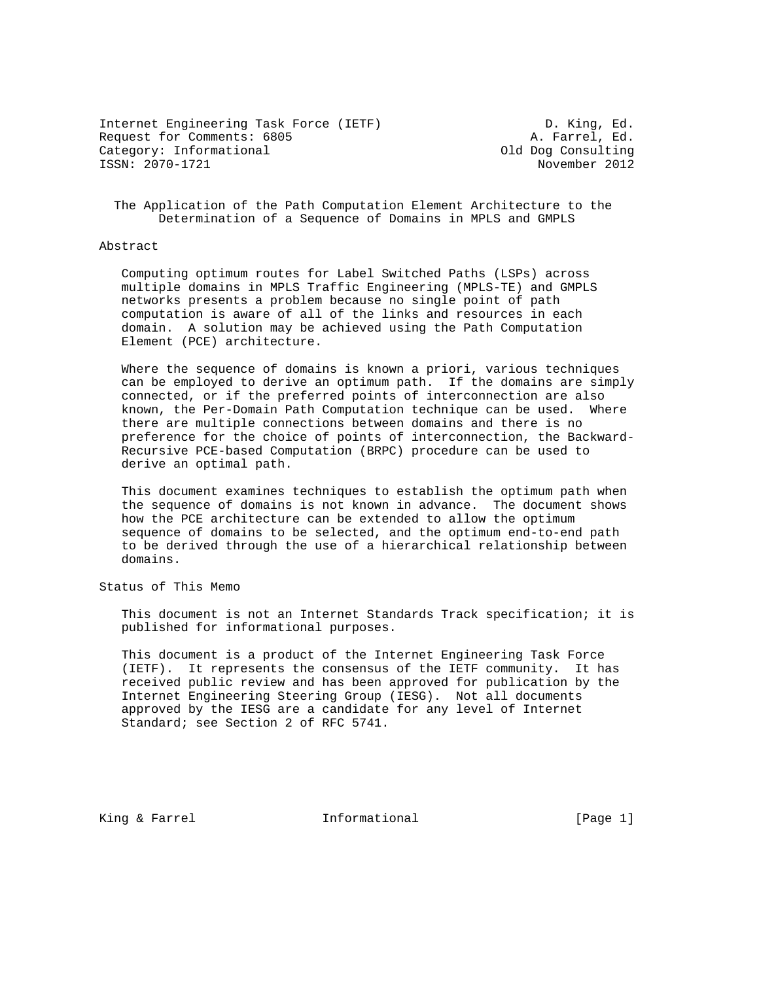Internet Engineering Task Force (IETF) D. King, Ed. Request for Comments: 6805 A. Farrel, Ed. Category: Informational and Category: Category: Category: Consulting ISSN: 2070-1721 November 2012

 The Application of the Path Computation Element Architecture to the Determination of a Sequence of Domains in MPLS and GMPLS

## Abstract

 Computing optimum routes for Label Switched Paths (LSPs) across multiple domains in MPLS Traffic Engineering (MPLS-TE) and GMPLS networks presents a problem because no single point of path computation is aware of all of the links and resources in each domain. A solution may be achieved using the Path Computation Element (PCE) architecture.

 Where the sequence of domains is known a priori, various techniques can be employed to derive an optimum path. If the domains are simply connected, or if the preferred points of interconnection are also known, the Per-Domain Path Computation technique can be used. Where there are multiple connections between domains and there is no preference for the choice of points of interconnection, the Backward- Recursive PCE-based Computation (BRPC) procedure can be used to derive an optimal path.

 This document examines techniques to establish the optimum path when the sequence of domains is not known in advance. The document shows how the PCE architecture can be extended to allow the optimum sequence of domains to be selected, and the optimum end-to-end path to be derived through the use of a hierarchical relationship between domains.

Status of This Memo

 This document is not an Internet Standards Track specification; it is published for informational purposes.

 This document is a product of the Internet Engineering Task Force (IETF). It represents the consensus of the IETF community. It has received public review and has been approved for publication by the Internet Engineering Steering Group (IESG). Not all documents approved by the IESG are a candidate for any level of Internet Standard; see Section 2 of RFC 5741.

King & Farrel **Informational** [Page 1]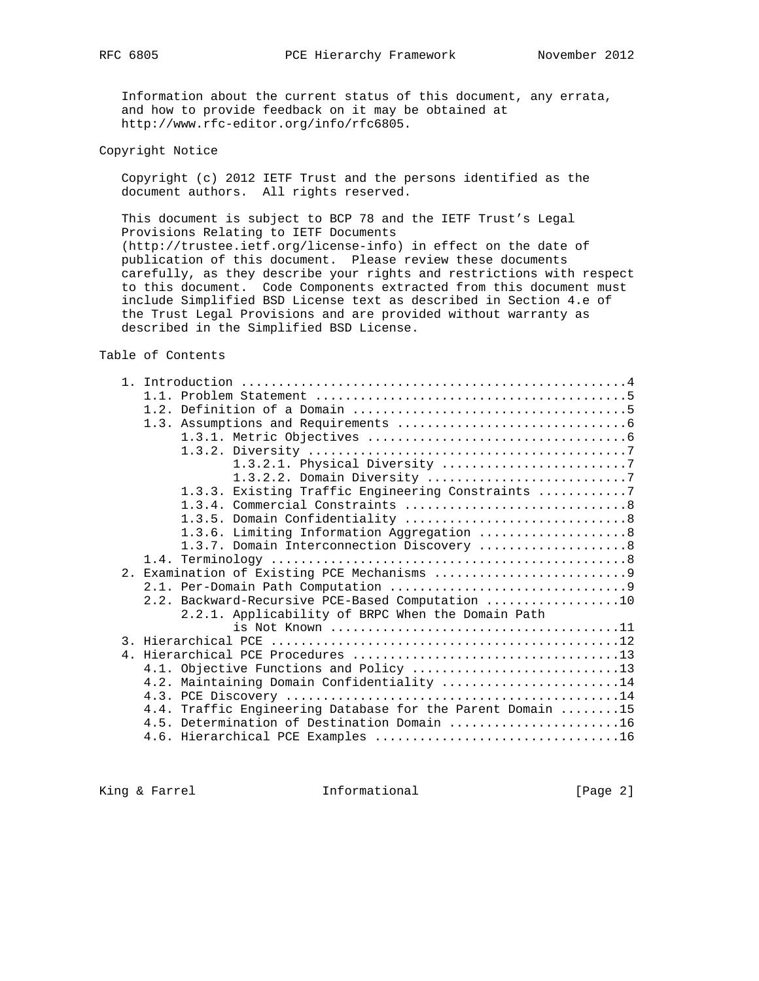Information about the current status of this document, any errata, and how to provide feedback on it may be obtained at http://www.rfc-editor.org/info/rfc6805.

Copyright Notice

 Copyright (c) 2012 IETF Trust and the persons identified as the document authors. All rights reserved.

 This document is subject to BCP 78 and the IETF Trust's Legal Provisions Relating to IETF Documents (http://trustee.ietf.org/license-info) in effect on the date of publication of this document. Please review these documents carefully, as they describe your rights and restrictions with respect to this document. Code Components extracted from this document must include Simplified BSD License text as described in Section 4.e of the Trust Legal Provisions and are provided without warranty as described in the Simplified BSD License.

Table of Contents

| 1.3.2.1. Physical Diversity 7                              |
|------------------------------------------------------------|
|                                                            |
| 1.3.3. Existing Traffic Engineering Constraints 7          |
|                                                            |
|                                                            |
|                                                            |
| 1.3.6. Limiting Information Aggregation 8                  |
| 1.3.7. Domain Interconnection Discovery  8                 |
|                                                            |
|                                                            |
|                                                            |
| 2.2. Backward-Recursive PCE-Based Computation 10           |
| 2.2.1. Applicability of BRPC When the Domain Path          |
|                                                            |
|                                                            |
|                                                            |
|                                                            |
| 4.2. Maintaining Domain Confidentiality 14                 |
|                                                            |
| 4.4. Traffic Engineering Database for the Parent Domain 15 |
| 4.5. Determination of Destination Domain 16                |
|                                                            |

King & Farrel **Informational** [Page 2]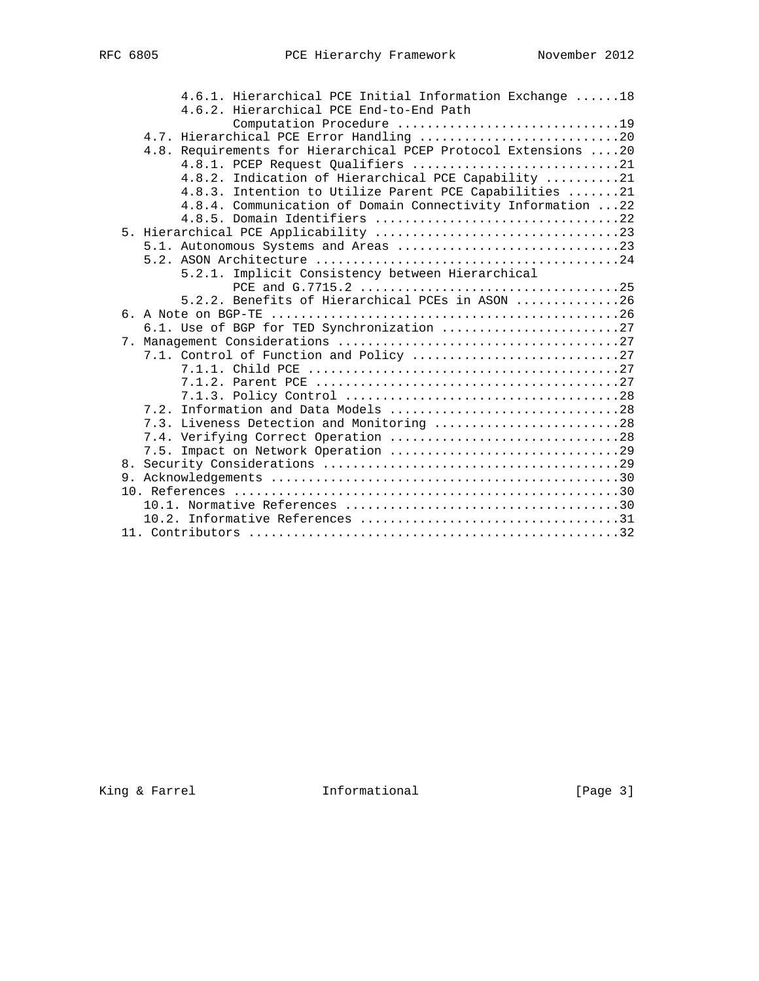|  | 4.6.1. Hierarchical PCE Initial Information Exchange 18        |
|--|----------------------------------------------------------------|
|  | 4.6.2. Hierarchical PCE End-to-End Path                        |
|  | Computation Procedure 19                                       |
|  | 4.7. Hierarchical PCE Error Handling 20                        |
|  | 4.8. Requirements for Hierarchical PCEP Protocol Extensions 20 |
|  | 4.8.1. PCEP Request Qualifiers 21                              |
|  | 4.8.2. Indication of Hierarchical PCE Capability 21            |
|  | 4.8.3. Intention to Utilize Parent PCE Capabilities 21         |
|  | 4.8.4. Communication of Domain Connectivity Information 22     |
|  |                                                                |
|  |                                                                |
|  | 5.1. Autonomous Systems and Areas 23                           |
|  |                                                                |
|  | 5.2.1. Implicit Consistency between Hierarchical               |
|  |                                                                |
|  | 5.2.2. Benefits of Hierarchical PCEs in ASON 26                |
|  |                                                                |
|  | 6.1. Use of BGP for TED Synchronization 27                     |
|  |                                                                |
|  | 7.1. Control of Function and Policy 27                         |
|  |                                                                |
|  |                                                                |
|  |                                                                |
|  | 7.2. Information and Data Models 28                            |
|  | 7.3. Liveness Detection and Monitoring 28                      |
|  |                                                                |
|  | 7.5. Impact on Network Operation 29                            |
|  |                                                                |
|  |                                                                |
|  |                                                                |
|  |                                                                |
|  |                                                                |
|  |                                                                |

King & Farrel **Informational** [Page 3]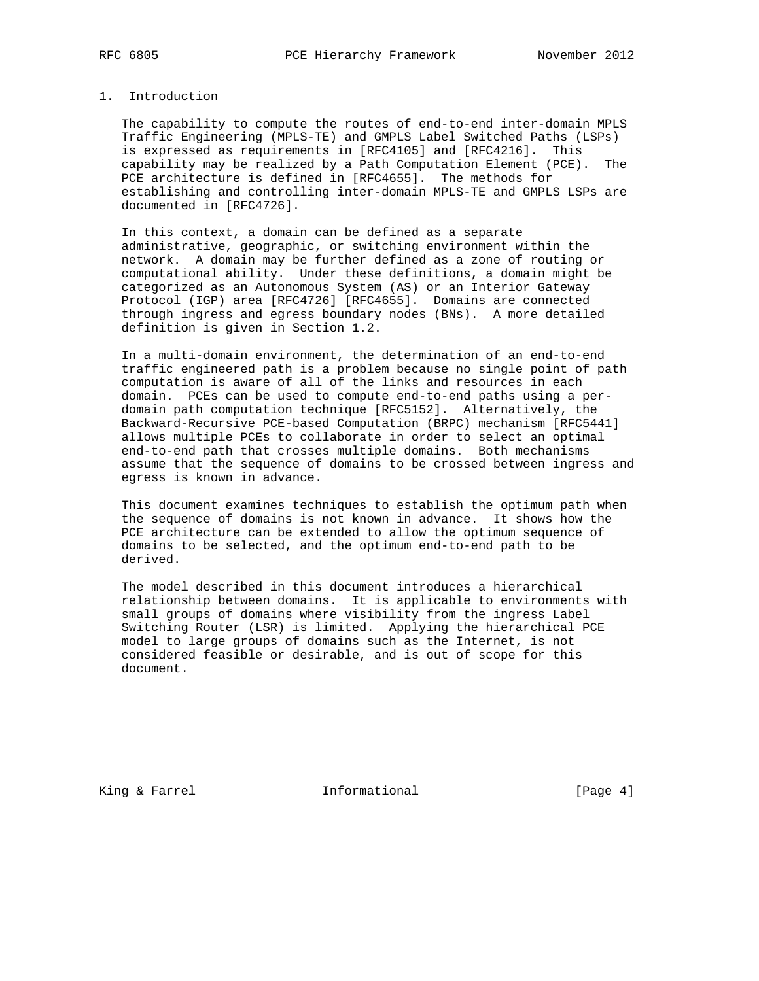# 1. Introduction

 The capability to compute the routes of end-to-end inter-domain MPLS Traffic Engineering (MPLS-TE) and GMPLS Label Switched Paths (LSPs) is expressed as requirements in [RFC4105] and [RFC4216]. This capability may be realized by a Path Computation Element (PCE). The PCE architecture is defined in [RFC4655]. The methods for establishing and controlling inter-domain MPLS-TE and GMPLS LSPs are documented in [RFC4726].

 In this context, a domain can be defined as a separate administrative, geographic, or switching environment within the network. A domain may be further defined as a zone of routing or computational ability. Under these definitions, a domain might be categorized as an Autonomous System (AS) or an Interior Gateway Protocol (IGP) area [RFC4726] [RFC4655]. Domains are connected through ingress and egress boundary nodes (BNs). A more detailed definition is given in Section 1.2.

 In a multi-domain environment, the determination of an end-to-end traffic engineered path is a problem because no single point of path computation is aware of all of the links and resources in each domain. PCEs can be used to compute end-to-end paths using a per domain path computation technique [RFC5152]. Alternatively, the Backward-Recursive PCE-based Computation (BRPC) mechanism [RFC5441] allows multiple PCEs to collaborate in order to select an optimal end-to-end path that crosses multiple domains. Both mechanisms assume that the sequence of domains to be crossed between ingress and egress is known in advance.

 This document examines techniques to establish the optimum path when the sequence of domains is not known in advance. It shows how the PCE architecture can be extended to allow the optimum sequence of domains to be selected, and the optimum end-to-end path to be derived.

 The model described in this document introduces a hierarchical relationship between domains. It is applicable to environments with small groups of domains where visibility from the ingress Label Switching Router (LSR) is limited. Applying the hierarchical PCE model to large groups of domains such as the Internet, is not considered feasible or desirable, and is out of scope for this document.

King & Farrel **Informational** [Page 4]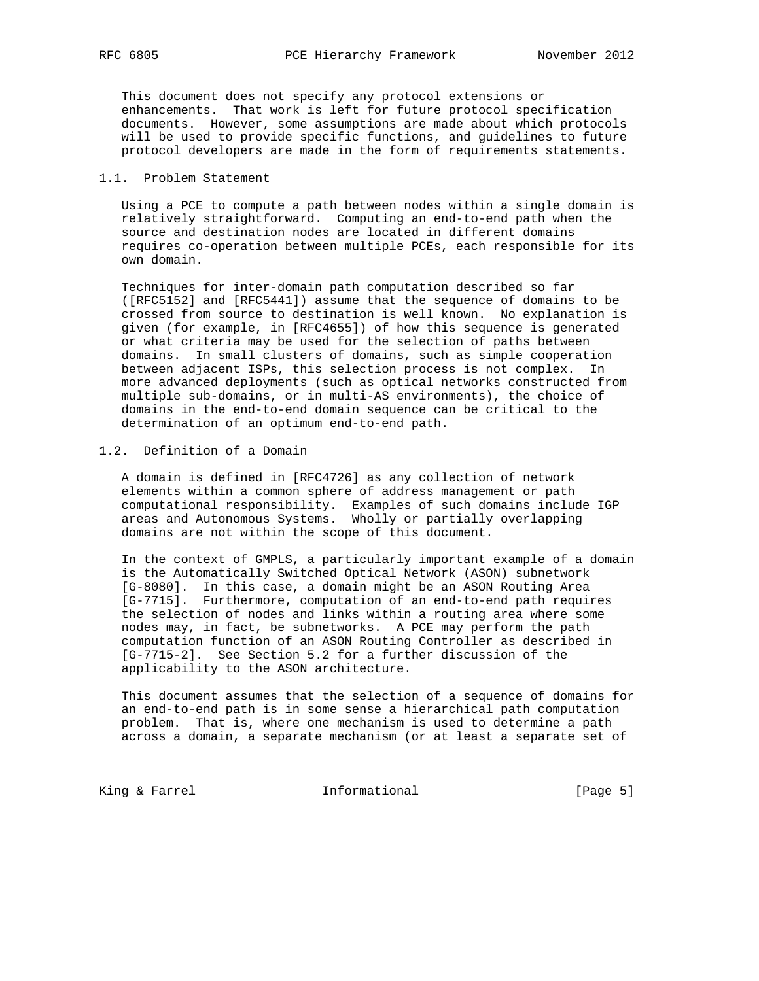This document does not specify any protocol extensions or enhancements. That work is left for future protocol specification documents. However, some assumptions are made about which protocols will be used to provide specific functions, and guidelines to future protocol developers are made in the form of requirements statements.

## 1.1. Problem Statement

 Using a PCE to compute a path between nodes within a single domain is relatively straightforward. Computing an end-to-end path when the source and destination nodes are located in different domains requires co-operation between multiple PCEs, each responsible for its own domain.

 Techniques for inter-domain path computation described so far ([RFC5152] and [RFC5441]) assume that the sequence of domains to be crossed from source to destination is well known. No explanation is given (for example, in [RFC4655]) of how this sequence is generated or what criteria may be used for the selection of paths between domains. In small clusters of domains, such as simple cooperation between adjacent ISPs, this selection process is not complex. In more advanced deployments (such as optical networks constructed from multiple sub-domains, or in multi-AS environments), the choice of domains in the end-to-end domain sequence can be critical to the determination of an optimum end-to-end path.

# 1.2. Definition of a Domain

 A domain is defined in [RFC4726] as any collection of network elements within a common sphere of address management or path computational responsibility. Examples of such domains include IGP areas and Autonomous Systems. Wholly or partially overlapping domains are not within the scope of this document.

 In the context of GMPLS, a particularly important example of a domain is the Automatically Switched Optical Network (ASON) subnetwork [G-8080]. In this case, a domain might be an ASON Routing Area [G-7715]. Furthermore, computation of an end-to-end path requires the selection of nodes and links within a routing area where some nodes may, in fact, be subnetworks. A PCE may perform the path computation function of an ASON Routing Controller as described in [G-7715-2]. See Section 5.2 for a further discussion of the applicability to the ASON architecture.

 This document assumes that the selection of a sequence of domains for an end-to-end path is in some sense a hierarchical path computation problem. That is, where one mechanism is used to determine a path across a domain, a separate mechanism (or at least a separate set of

King & Farrel **Informational** [Page 5]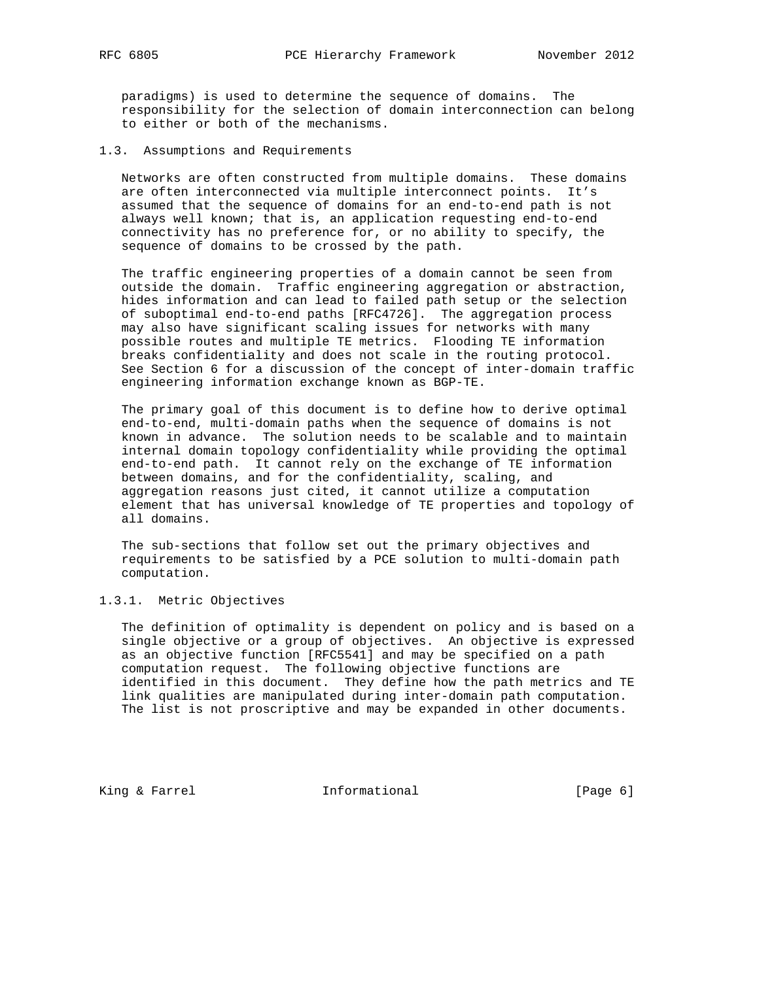paradigms) is used to determine the sequence of domains. The responsibility for the selection of domain interconnection can belong to either or both of the mechanisms.

1.3. Assumptions and Requirements

 Networks are often constructed from multiple domains. These domains are often interconnected via multiple interconnect points. It's assumed that the sequence of domains for an end-to-end path is not always well known; that is, an application requesting end-to-end connectivity has no preference for, or no ability to specify, the sequence of domains to be crossed by the path.

 The traffic engineering properties of a domain cannot be seen from outside the domain. Traffic engineering aggregation or abstraction, hides information and can lead to failed path setup or the selection of suboptimal end-to-end paths [RFC4726]. The aggregation process may also have significant scaling issues for networks with many possible routes and multiple TE metrics. Flooding TE information breaks confidentiality and does not scale in the routing protocol. See Section 6 for a discussion of the concept of inter-domain traffic engineering information exchange known as BGP-TE.

 The primary goal of this document is to define how to derive optimal end-to-end, multi-domain paths when the sequence of domains is not known in advance. The solution needs to be scalable and to maintain internal domain topology confidentiality while providing the optimal end-to-end path. It cannot rely on the exchange of TE information between domains, and for the confidentiality, scaling, and aggregation reasons just cited, it cannot utilize a computation element that has universal knowledge of TE properties and topology of all domains.

 The sub-sections that follow set out the primary objectives and requirements to be satisfied by a PCE solution to multi-domain path computation.

# 1.3.1. Metric Objectives

 The definition of optimality is dependent on policy and is based on a single objective or a group of objectives. An objective is expressed as an objective function [RFC5541] and may be specified on a path computation request. The following objective functions are identified in this document. They define how the path metrics and TE link qualities are manipulated during inter-domain path computation. The list is not proscriptive and may be expanded in other documents.

King & Farrel **Informational** [Page 6]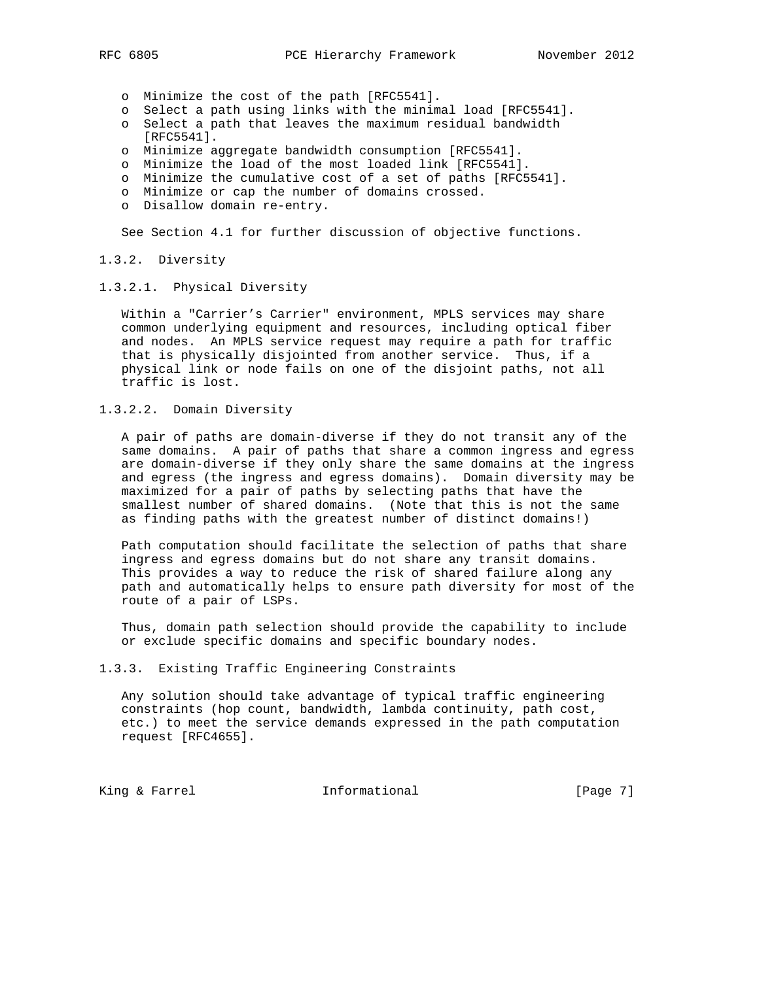- o Minimize the cost of the path [RFC5541].
- o Select a path using links with the minimal load [RFC5541].
- o Select a path that leaves the maximum residual bandwidth [RFC5541].
- o Minimize aggregate bandwidth consumption [RFC5541].
- o Minimize the load of the most loaded link [RFC5541].
- o Minimize the cumulative cost of a set of paths [RFC5541].
- o Minimize or cap the number of domains crossed.
- o Disallow domain re-entry.

See Section 4.1 for further discussion of objective functions.

## 1.3.2. Diversity

## 1.3.2.1. Physical Diversity

 Within a "Carrier's Carrier" environment, MPLS services may share common underlying equipment and resources, including optical fiber and nodes. An MPLS service request may require a path for traffic that is physically disjointed from another service. Thus, if a physical link or node fails on one of the disjoint paths, not all traffic is lost.

# 1.3.2.2. Domain Diversity

 A pair of paths are domain-diverse if they do not transit any of the same domains. A pair of paths that share a common ingress and egress are domain-diverse if they only share the same domains at the ingress and egress (the ingress and egress domains). Domain diversity may be maximized for a pair of paths by selecting paths that have the smallest number of shared domains. (Note that this is not the same as finding paths with the greatest number of distinct domains!)

 Path computation should facilitate the selection of paths that share ingress and egress domains but do not share any transit domains. This provides a way to reduce the risk of shared failure along any path and automatically helps to ensure path diversity for most of the route of a pair of LSPs.

 Thus, domain path selection should provide the capability to include or exclude specific domains and specific boundary nodes.

## 1.3.3. Existing Traffic Engineering Constraints

 Any solution should take advantage of typical traffic engineering constraints (hop count, bandwidth, lambda continuity, path cost, etc.) to meet the service demands expressed in the path computation request [RFC4655].

King & Farrel **Informational** [Page 7]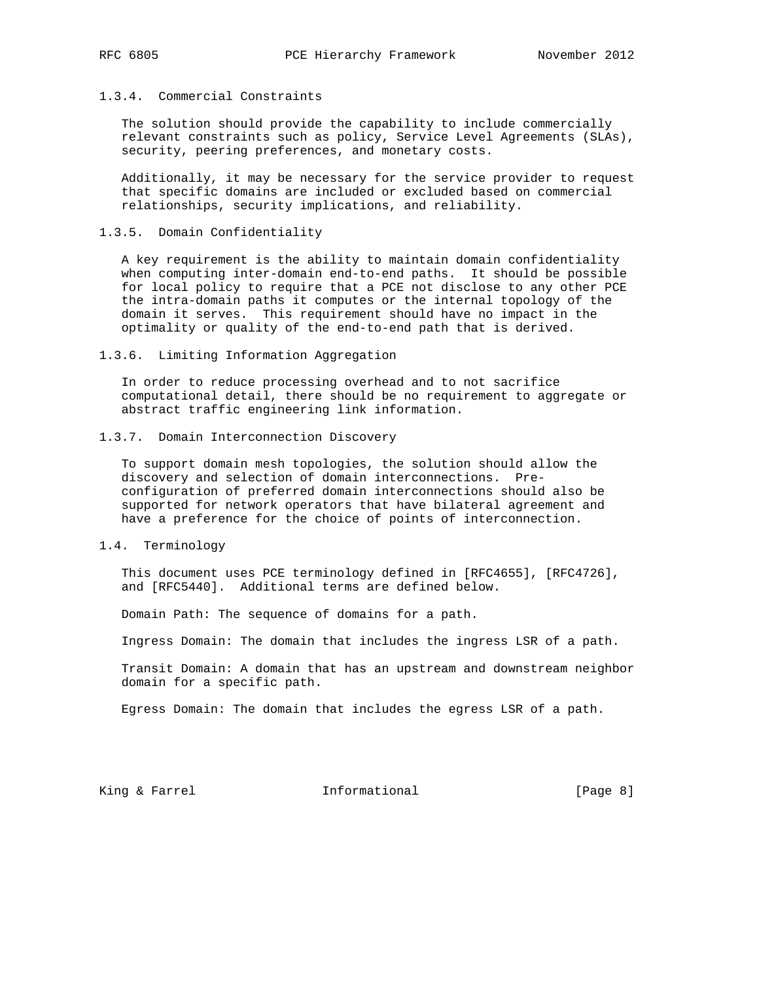# 1.3.4. Commercial Constraints

 The solution should provide the capability to include commercially relevant constraints such as policy, Service Level Agreements (SLAs), security, peering preferences, and monetary costs.

 Additionally, it may be necessary for the service provider to request that specific domains are included or excluded based on commercial relationships, security implications, and reliability.

1.3.5. Domain Confidentiality

 A key requirement is the ability to maintain domain confidentiality when computing inter-domain end-to-end paths. It should be possible for local policy to require that a PCE not disclose to any other PCE the intra-domain paths it computes or the internal topology of the domain it serves. This requirement should have no impact in the optimality or quality of the end-to-end path that is derived.

1.3.6. Limiting Information Aggregation

 In order to reduce processing overhead and to not sacrifice computational detail, there should be no requirement to aggregate or abstract traffic engineering link information.

1.3.7. Domain Interconnection Discovery

 To support domain mesh topologies, the solution should allow the discovery and selection of domain interconnections. Pre configuration of preferred domain interconnections should also be supported for network operators that have bilateral agreement and have a preference for the choice of points of interconnection.

1.4. Terminology

 This document uses PCE terminology defined in [RFC4655], [RFC4726], and [RFC5440]. Additional terms are defined below.

Domain Path: The sequence of domains for a path.

Ingress Domain: The domain that includes the ingress LSR of a path.

 Transit Domain: A domain that has an upstream and downstream neighbor domain for a specific path.

Egress Domain: The domain that includes the egress LSR of a path.

King & Farrel **Informational** [Page 8]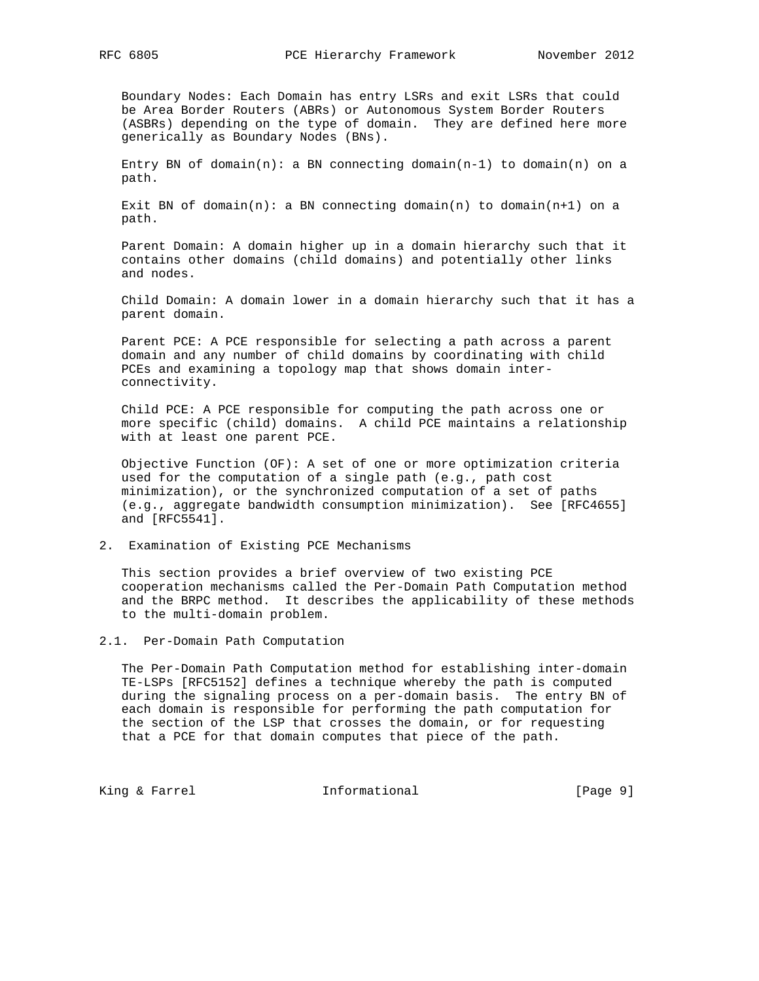Boundary Nodes: Each Domain has entry LSRs and exit LSRs that could be Area Border Routers (ABRs) or Autonomous System Border Routers (ASBRs) depending on the type of domain. They are defined here more generically as Boundary Nodes (BNs).

Entry BN of domain(n): a BN connecting domain(n-1) to domain(n) on a path.

Exit BN of domain(n): a BN connecting domain(n) to domain(n+1) on a path.

 Parent Domain: A domain higher up in a domain hierarchy such that it contains other domains (child domains) and potentially other links and nodes.

 Child Domain: A domain lower in a domain hierarchy such that it has a parent domain.

 Parent PCE: A PCE responsible for selecting a path across a parent domain and any number of child domains by coordinating with child PCEs and examining a topology map that shows domain inter connectivity.

 Child PCE: A PCE responsible for computing the path across one or more specific (child) domains. A child PCE maintains a relationship with at least one parent PCE.

 Objective Function (OF): A set of one or more optimization criteria used for the computation of a single path (e.g., path cost minimization), or the synchronized computation of a set of paths (e.g., aggregate bandwidth consumption minimization). See [RFC4655] and [RFC5541].

2. Examination of Existing PCE Mechanisms

 This section provides a brief overview of two existing PCE cooperation mechanisms called the Per-Domain Path Computation method and the BRPC method. It describes the applicability of these methods to the multi-domain problem.

2.1. Per-Domain Path Computation

 The Per-Domain Path Computation method for establishing inter-domain TE-LSPs [RFC5152] defines a technique whereby the path is computed during the signaling process on a per-domain basis. The entry BN of each domain is responsible for performing the path computation for the section of the LSP that crosses the domain, or for requesting that a PCE for that domain computes that piece of the path.

King & Farrel **Informational** [Page 9]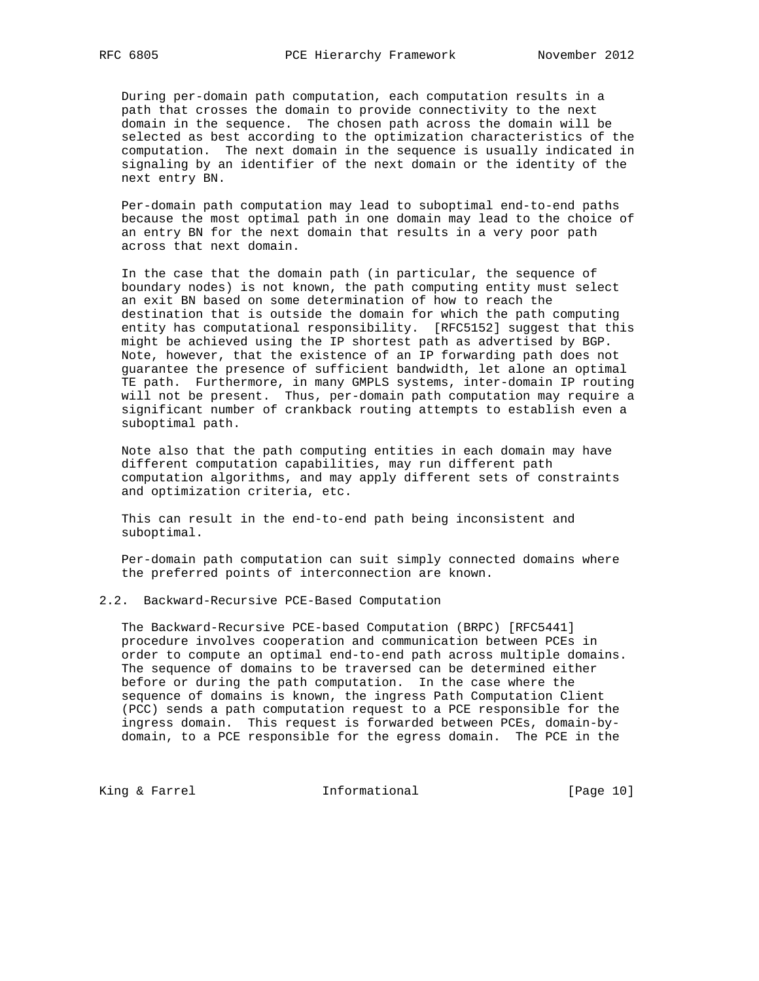During per-domain path computation, each computation results in a path that crosses the domain to provide connectivity to the next domain in the sequence. The chosen path across the domain will be selected as best according to the optimization characteristics of the computation. The next domain in the sequence is usually indicated in signaling by an identifier of the next domain or the identity of the next entry BN.

 Per-domain path computation may lead to suboptimal end-to-end paths because the most optimal path in one domain may lead to the choice of an entry BN for the next domain that results in a very poor path across that next domain.

 In the case that the domain path (in particular, the sequence of boundary nodes) is not known, the path computing entity must select an exit BN based on some determination of how to reach the destination that is outside the domain for which the path computing entity has computational responsibility. [RFC5152] suggest that this might be achieved using the IP shortest path as advertised by BGP. Note, however, that the existence of an IP forwarding path does not guarantee the presence of sufficient bandwidth, let alone an optimal TE path. Furthermore, in many GMPLS systems, inter-domain IP routing will not be present. Thus, per-domain path computation may require a significant number of crankback routing attempts to establish even a suboptimal path.

 Note also that the path computing entities in each domain may have different computation capabilities, may run different path computation algorithms, and may apply different sets of constraints and optimization criteria, etc.

 This can result in the end-to-end path being inconsistent and suboptimal.

 Per-domain path computation can suit simply connected domains where the preferred points of interconnection are known.

#### 2.2. Backward-Recursive PCE-Based Computation

 The Backward-Recursive PCE-based Computation (BRPC) [RFC5441] procedure involves cooperation and communication between PCEs in order to compute an optimal end-to-end path across multiple domains. The sequence of domains to be traversed can be determined either before or during the path computation. In the case where the sequence of domains is known, the ingress Path Computation Client (PCC) sends a path computation request to a PCE responsible for the ingress domain. This request is forwarded between PCEs, domain-by domain, to a PCE responsible for the egress domain. The PCE in the

King & Farrel **Informational** [Page 10]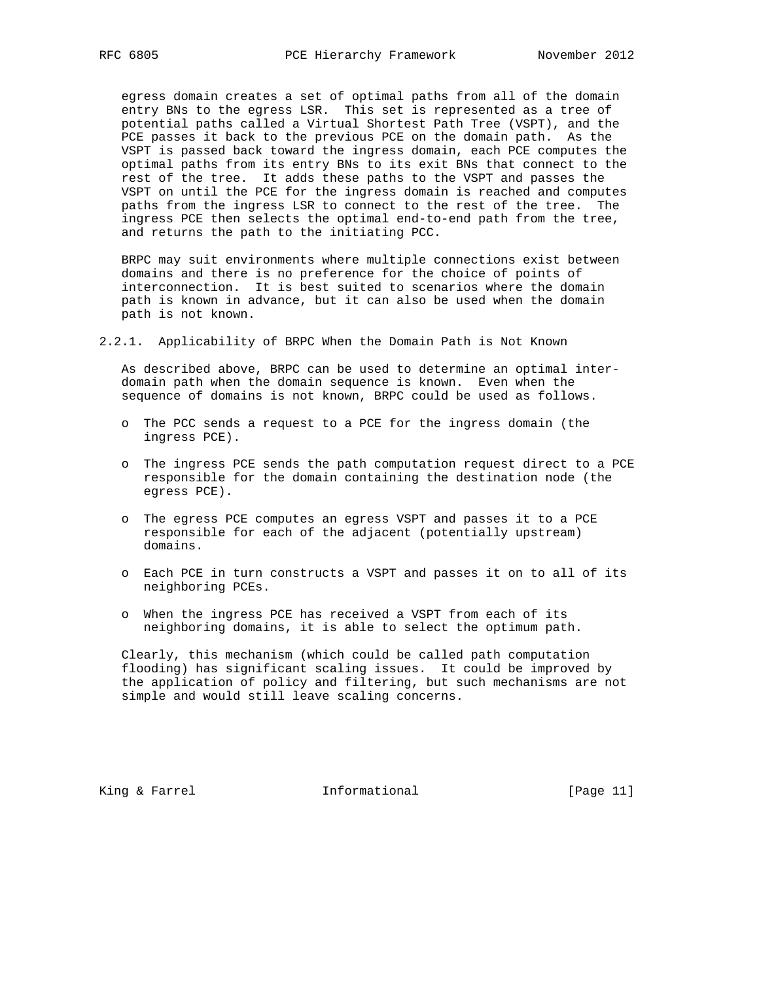egress domain creates a set of optimal paths from all of the domain entry BNs to the egress LSR. This set is represented as a tree of potential paths called a Virtual Shortest Path Tree (VSPT), and the PCE passes it back to the previous PCE on the domain path. As the VSPT is passed back toward the ingress domain, each PCE computes the optimal paths from its entry BNs to its exit BNs that connect to the rest of the tree. It adds these paths to the VSPT and passes the VSPT on until the PCE for the ingress domain is reached and computes paths from the ingress LSR to connect to the rest of the tree. The ingress PCE then selects the optimal end-to-end path from the tree, and returns the path to the initiating PCC.

 BRPC may suit environments where multiple connections exist between domains and there is no preference for the choice of points of interconnection. It is best suited to scenarios where the domain path is known in advance, but it can also be used when the domain path is not known.

2.2.1. Applicability of BRPC When the Domain Path is Not Known

 As described above, BRPC can be used to determine an optimal inter domain path when the domain sequence is known. Even when the sequence of domains is not known, BRPC could be used as follows.

- o The PCC sends a request to a PCE for the ingress domain (the ingress PCE).
- o The ingress PCE sends the path computation request direct to a PCE responsible for the domain containing the destination node (the egress PCE).
- o The egress PCE computes an egress VSPT and passes it to a PCE responsible for each of the adjacent (potentially upstream) domains.
- o Each PCE in turn constructs a VSPT and passes it on to all of its neighboring PCEs.
- o When the ingress PCE has received a VSPT from each of its neighboring domains, it is able to select the optimum path.

 Clearly, this mechanism (which could be called path computation flooding) has significant scaling issues. It could be improved by the application of policy and filtering, but such mechanisms are not simple and would still leave scaling concerns.

King & Farrel **Informational** [Page 11]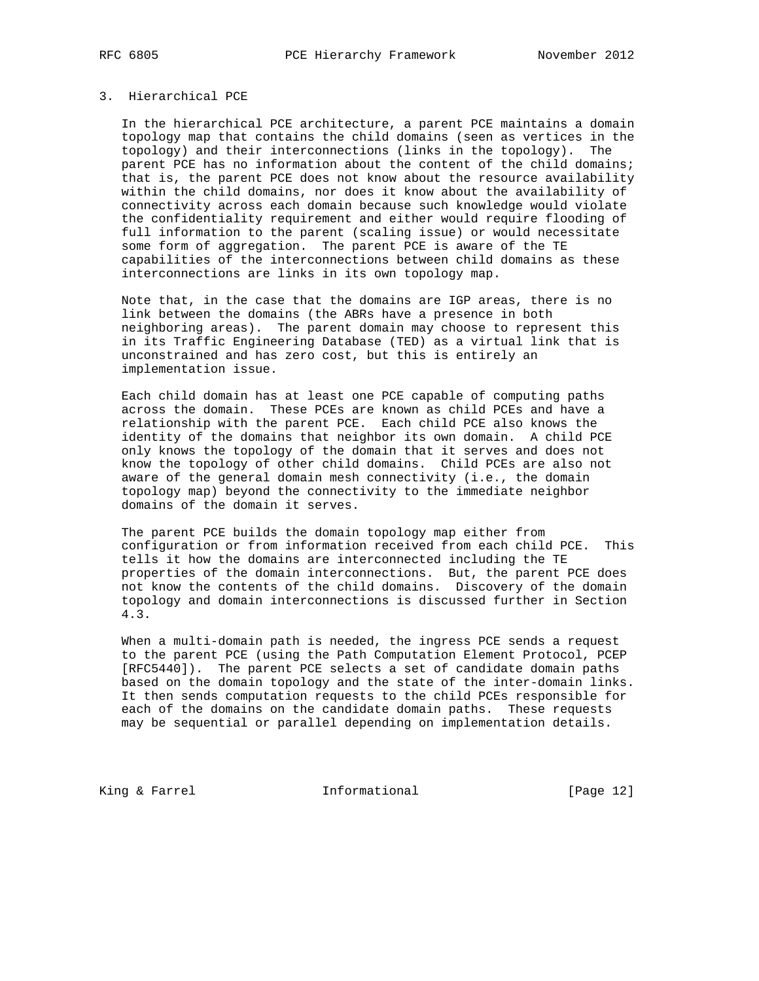# 3. Hierarchical PCE

 In the hierarchical PCE architecture, a parent PCE maintains a domain topology map that contains the child domains (seen as vertices in the topology) and their interconnections (links in the topology). The parent PCE has no information about the content of the child domains; that is, the parent PCE does not know about the resource availability within the child domains, nor does it know about the availability of connectivity across each domain because such knowledge would violate the confidentiality requirement and either would require flooding of full information to the parent (scaling issue) or would necessitate some form of aggregation. The parent PCE is aware of the TE capabilities of the interconnections between child domains as these interconnections are links in its own topology map.

 Note that, in the case that the domains are IGP areas, there is no link between the domains (the ABRs have a presence in both neighboring areas). The parent domain may choose to represent this in its Traffic Engineering Database (TED) as a virtual link that is unconstrained and has zero cost, but this is entirely an implementation issue.

 Each child domain has at least one PCE capable of computing paths across the domain. These PCEs are known as child PCEs and have a relationship with the parent PCE. Each child PCE also knows the identity of the domains that neighbor its own domain. A child PCE only knows the topology of the domain that it serves and does not know the topology of other child domains. Child PCEs are also not aware of the general domain mesh connectivity (i.e., the domain topology map) beyond the connectivity to the immediate neighbor domains of the domain it serves.

 The parent PCE builds the domain topology map either from configuration or from information received from each child PCE. This tells it how the domains are interconnected including the TE properties of the domain interconnections. But, the parent PCE does not know the contents of the child domains. Discovery of the domain topology and domain interconnections is discussed further in Section 4.3.

 When a multi-domain path is needed, the ingress PCE sends a request to the parent PCE (using the Path Computation Element Protocol, PCEP [RFC5440]). The parent PCE selects a set of candidate domain paths based on the domain topology and the state of the inter-domain links. It then sends computation requests to the child PCEs responsible for each of the domains on the candidate domain paths. These requests may be sequential or parallel depending on implementation details.

King & Farrel **Informational** [Page 12]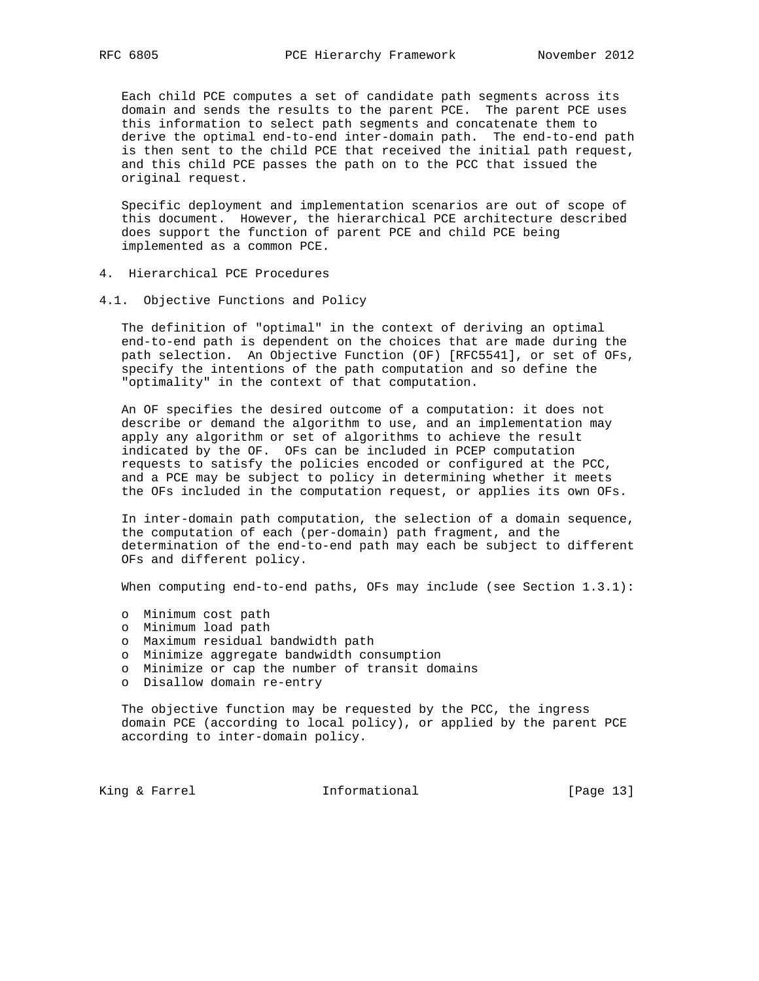Each child PCE computes a set of candidate path segments across its domain and sends the results to the parent PCE. The parent PCE uses this information to select path segments and concatenate them to derive the optimal end-to-end inter-domain path. The end-to-end path is then sent to the child PCE that received the initial path request, and this child PCE passes the path on to the PCC that issued the original request.

 Specific deployment and implementation scenarios are out of scope of this document. However, the hierarchical PCE architecture described does support the function of parent PCE and child PCE being implemented as a common PCE.

- 4. Hierarchical PCE Procedures
- 4.1. Objective Functions and Policy

 The definition of "optimal" in the context of deriving an optimal end-to-end path is dependent on the choices that are made during the path selection. An Objective Function (OF) [RFC5541], or set of OFs, specify the intentions of the path computation and so define the "optimality" in the context of that computation.

 An OF specifies the desired outcome of a computation: it does not describe or demand the algorithm to use, and an implementation may apply any algorithm or set of algorithms to achieve the result indicated by the OF. OFs can be included in PCEP computation requests to satisfy the policies encoded or configured at the PCC, and a PCE may be subject to policy in determining whether it meets the OFs included in the computation request, or applies its own OFs.

 In inter-domain path computation, the selection of a domain sequence, the computation of each (per-domain) path fragment, and the determination of the end-to-end path may each be subject to different OFs and different policy.

When computing end-to-end paths, OFs may include (see Section 1.3.1):

- o Minimum cost path
- o Minimum load path
- o Maximum residual bandwidth path
- o Minimize aggregate bandwidth consumption
- o Minimize or cap the number of transit domains
- o Disallow domain re-entry

 The objective function may be requested by the PCC, the ingress domain PCE (according to local policy), or applied by the parent PCE according to inter-domain policy.

King & Farrel **Informational** [Page 13]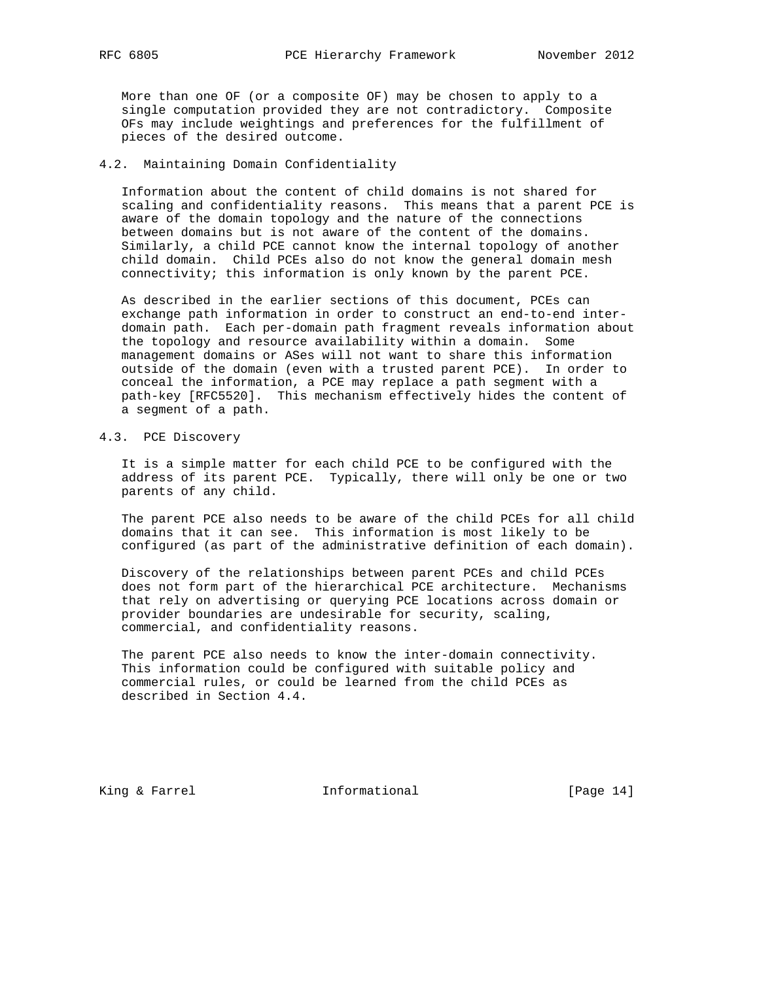More than one OF (or a composite OF) may be chosen to apply to a single computation provided they are not contradictory. Composite OFs may include weightings and preferences for the fulfillment of pieces of the desired outcome.

## 4.2. Maintaining Domain Confidentiality

 Information about the content of child domains is not shared for scaling and confidentiality reasons. This means that a parent PCE is aware of the domain topology and the nature of the connections between domains but is not aware of the content of the domains. Similarly, a child PCE cannot know the internal topology of another child domain. Child PCEs also do not know the general domain mesh connectivity; this information is only known by the parent PCE.

 As described in the earlier sections of this document, PCEs can exchange path information in order to construct an end-to-end inter domain path. Each per-domain path fragment reveals information about the topology and resource availability within a domain. Some management domains or ASes will not want to share this information outside of the domain (even with a trusted parent PCE). In order to conceal the information, a PCE may replace a path segment with a path-key [RFC5520]. This mechanism effectively hides the content of a segment of a path.

## 4.3. PCE Discovery

 It is a simple matter for each child PCE to be configured with the address of its parent PCE. Typically, there will only be one or two parents of any child.

 The parent PCE also needs to be aware of the child PCEs for all child domains that it can see. This information is most likely to be configured (as part of the administrative definition of each domain).

 Discovery of the relationships between parent PCEs and child PCEs does not form part of the hierarchical PCE architecture. Mechanisms that rely on advertising or querying PCE locations across domain or provider boundaries are undesirable for security, scaling, commercial, and confidentiality reasons.

 The parent PCE also needs to know the inter-domain connectivity. This information could be configured with suitable policy and commercial rules, or could be learned from the child PCEs as described in Section 4.4.

King & Farrel **Informational** [Page 14]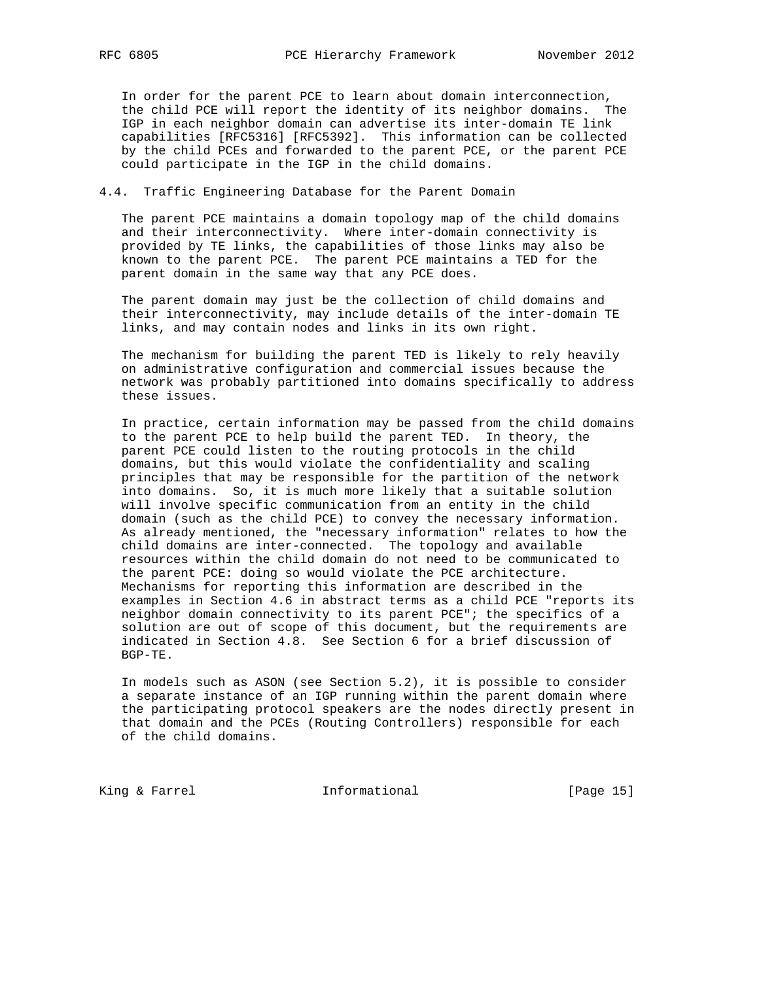In order for the parent PCE to learn about domain interconnection, the child PCE will report the identity of its neighbor domains. The IGP in each neighbor domain can advertise its inter-domain TE link capabilities [RFC5316] [RFC5392]. This information can be collected by the child PCEs and forwarded to the parent PCE, or the parent PCE could participate in the IGP in the child domains.

## 4.4. Traffic Engineering Database for the Parent Domain

 The parent PCE maintains a domain topology map of the child domains and their interconnectivity. Where inter-domain connectivity is provided by TE links, the capabilities of those links may also be known to the parent PCE. The parent PCE maintains a TED for the parent domain in the same way that any PCE does.

 The parent domain may just be the collection of child domains and their interconnectivity, may include details of the inter-domain TE links, and may contain nodes and links in its own right.

 The mechanism for building the parent TED is likely to rely heavily on administrative configuration and commercial issues because the network was probably partitioned into domains specifically to address these issues.

 In practice, certain information may be passed from the child domains to the parent PCE to help build the parent TED. In theory, the parent PCE could listen to the routing protocols in the child domains, but this would violate the confidentiality and scaling principles that may be responsible for the partition of the network into domains. So, it is much more likely that a suitable solution will involve specific communication from an entity in the child domain (such as the child PCE) to convey the necessary information. As already mentioned, the "necessary information" relates to how the child domains are inter-connected. The topology and available resources within the child domain do not need to be communicated to the parent PCE: doing so would violate the PCE architecture. Mechanisms for reporting this information are described in the examples in Section 4.6 in abstract terms as a child PCE "reports its neighbor domain connectivity to its parent PCE"; the specifics of a solution are out of scope of this document, but the requirements are indicated in Section 4.8. See Section 6 for a brief discussion of BGP-TE.

 In models such as ASON (see Section 5.2), it is possible to consider a separate instance of an IGP running within the parent domain where the participating protocol speakers are the nodes directly present in that domain and the PCEs (Routing Controllers) responsible for each of the child domains.

King & Farrel **Informational** [Page 15]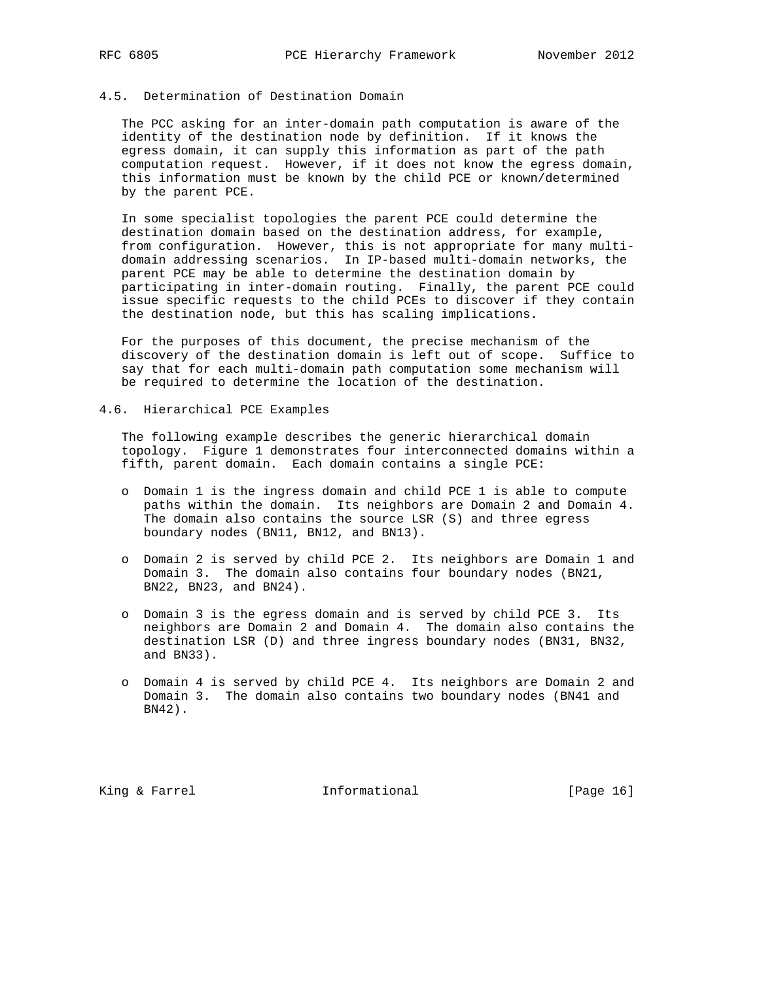# 4.5. Determination of Destination Domain

 The PCC asking for an inter-domain path computation is aware of the identity of the destination node by definition. If it knows the egress domain, it can supply this information as part of the path computation request. However, if it does not know the egress domain, this information must be known by the child PCE or known/determined by the parent PCE.

 In some specialist topologies the parent PCE could determine the destination domain based on the destination address, for example, from configuration. However, this is not appropriate for many multi domain addressing scenarios. In IP-based multi-domain networks, the parent PCE may be able to determine the destination domain by participating in inter-domain routing. Finally, the parent PCE could issue specific requests to the child PCEs to discover if they contain the destination node, but this has scaling implications.

 For the purposes of this document, the precise mechanism of the discovery of the destination domain is left out of scope. Suffice to say that for each multi-domain path computation some mechanism will be required to determine the location of the destination.

4.6. Hierarchical PCE Examples

 The following example describes the generic hierarchical domain topology. Figure 1 demonstrates four interconnected domains within a fifth, parent domain. Each domain contains a single PCE:

- o Domain 1 is the ingress domain and child PCE 1 is able to compute paths within the domain. Its neighbors are Domain 2 and Domain 4. The domain also contains the source LSR (S) and three egress boundary nodes (BN11, BN12, and BN13).
- o Domain 2 is served by child PCE 2. Its neighbors are Domain 1 and Domain 3. The domain also contains four boundary nodes (BN21, BN22, BN23, and BN24).
- o Domain 3 is the egress domain and is served by child PCE 3. Its neighbors are Domain 2 and Domain 4. The domain also contains the destination LSR (D) and three ingress boundary nodes (BN31, BN32, and BN33).
- o Domain 4 is served by child PCE 4. Its neighbors are Domain 2 and Domain 3. The domain also contains two boundary nodes (BN41 and BN42).

King & Farrel **Informational** [Page 16]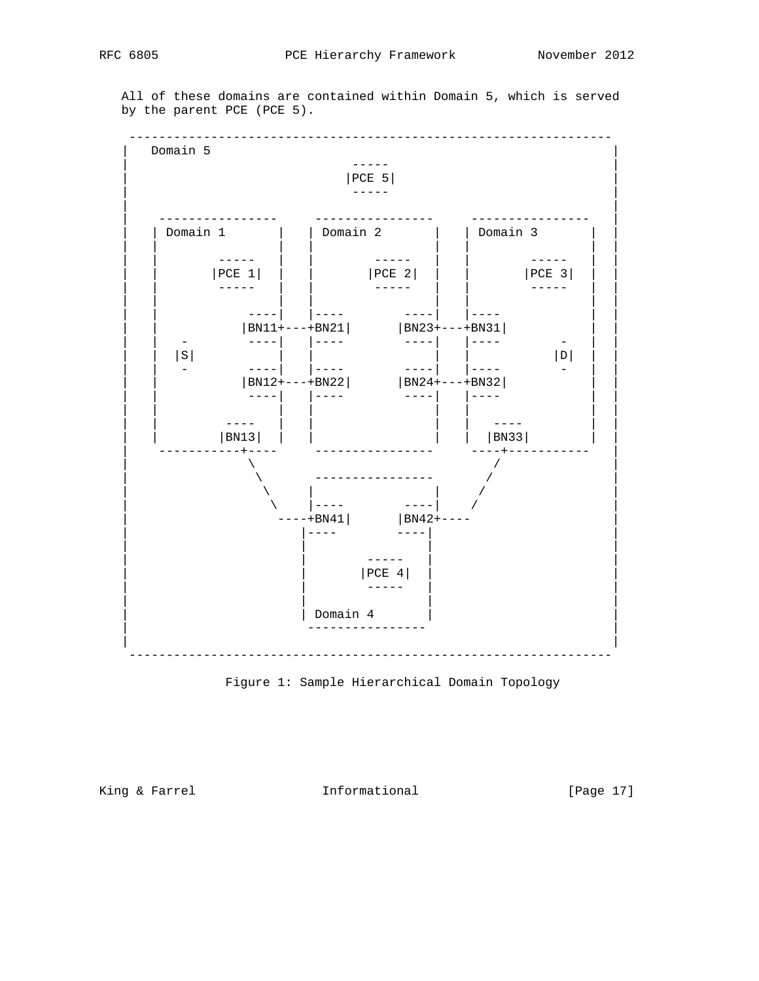All of these domains are contained within Domain 5, which is served by the parent PCE (PCE 5).





King & Farrel **Informational** [Page 17]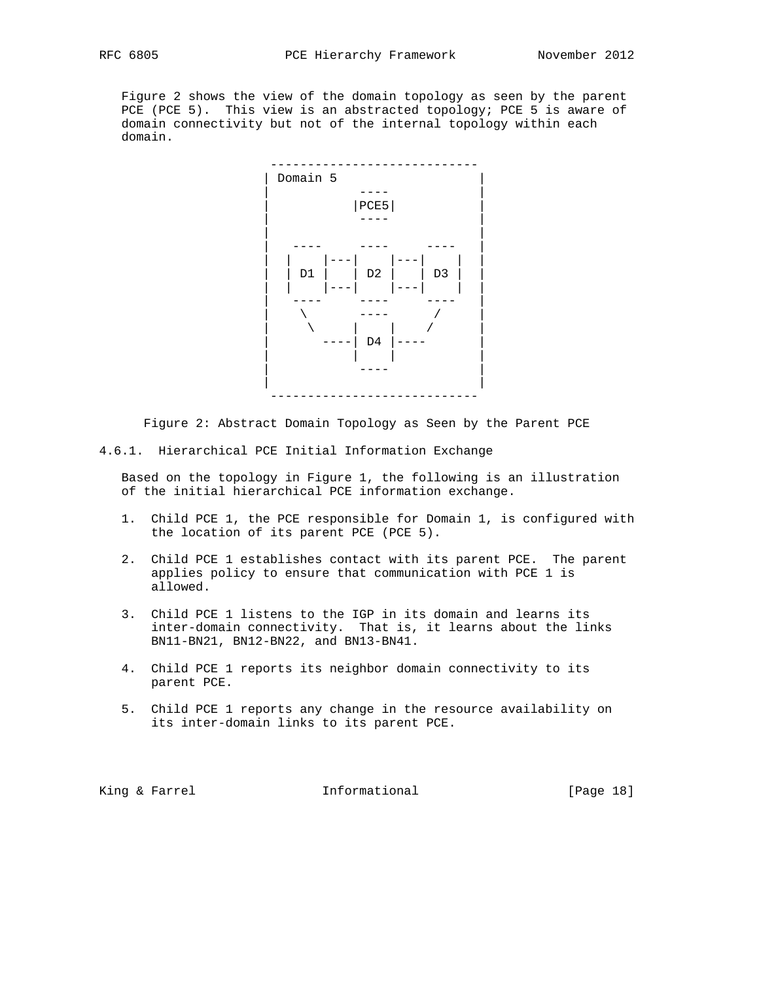Figure 2 shows the view of the domain topology as seen by the parent PCE (PCE 5). This view is an abstracted topology; PCE 5 is aware of domain connectivity but not of the internal topology within each domain.



Figure 2: Abstract Domain Topology as Seen by the Parent PCE

4.6.1. Hierarchical PCE Initial Information Exchange

 Based on the topology in Figure 1, the following is an illustration of the initial hierarchical PCE information exchange.

- 1. Child PCE 1, the PCE responsible for Domain 1, is configured with the location of its parent PCE (PCE 5).
- 2. Child PCE 1 establishes contact with its parent PCE. The parent applies policy to ensure that communication with PCE 1 is allowed.
- 3. Child PCE 1 listens to the IGP in its domain and learns its inter-domain connectivity. That is, it learns about the links BN11-BN21, BN12-BN22, and BN13-BN41.
- 4. Child PCE 1 reports its neighbor domain connectivity to its parent PCE.
- 5. Child PCE 1 reports any change in the resource availability on its inter-domain links to its parent PCE.

King & Farrel **Informational** [Page 18]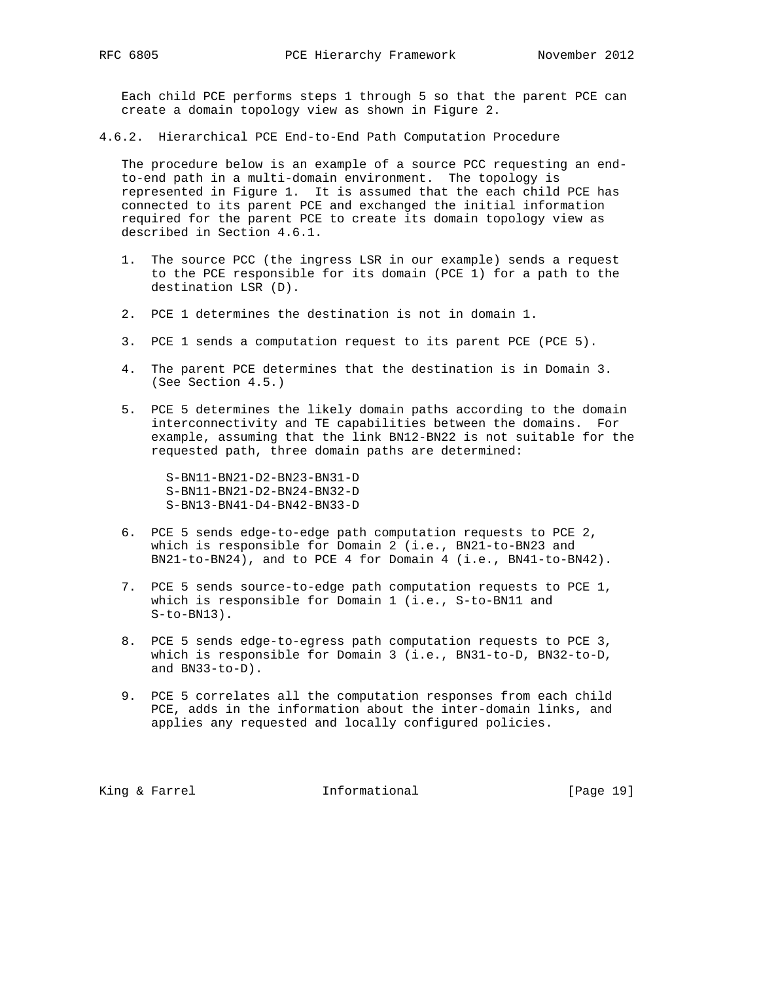Each child PCE performs steps 1 through 5 so that the parent PCE can create a domain topology view as shown in Figure 2.

4.6.2. Hierarchical PCE End-to-End Path Computation Procedure

 The procedure below is an example of a source PCC requesting an end to-end path in a multi-domain environment. The topology is represented in Figure 1. It is assumed that the each child PCE has connected to its parent PCE and exchanged the initial information required for the parent PCE to create its domain topology view as described in Section 4.6.1.

- 1. The source PCC (the ingress LSR in our example) sends a request to the PCE responsible for its domain (PCE 1) for a path to the destination LSR (D).
- 2. PCE 1 determines the destination is not in domain 1.
- 3. PCE 1 sends a computation request to its parent PCE (PCE 5).
- 4. The parent PCE determines that the destination is in Domain 3. (See Section 4.5.)
- 5. PCE 5 determines the likely domain paths according to the domain interconnectivity and TE capabilities between the domains. For example, assuming that the link BN12-BN22 is not suitable for the requested path, three domain paths are determined:

 S-BN11-BN21-D2-BN23-BN31-D S-BN11-BN21-D2-BN24-BN32-D S-BN13-BN41-D4-BN42-BN33-D

- 6. PCE 5 sends edge-to-edge path computation requests to PCE 2, which is responsible for Domain 2 (i.e., BN21-to-BN23 and BN21-to-BN24), and to PCE 4 for Domain 4 (i.e., BN41-to-BN42).
- 7. PCE 5 sends source-to-edge path computation requests to PCE 1, which is responsible for Domain 1 (i.e., S-to-BN11 and  $S-to-BN13$ ).
- 8. PCE 5 sends edge-to-egress path computation requests to PCE 3, which is responsible for Domain 3 (i.e., BN31-to-D, BN32-to-D, and BN33-to-D).
- 9. PCE 5 correlates all the computation responses from each child PCE, adds in the information about the inter-domain links, and applies any requested and locally configured policies.

King & Farrel **Informational** [Page 19]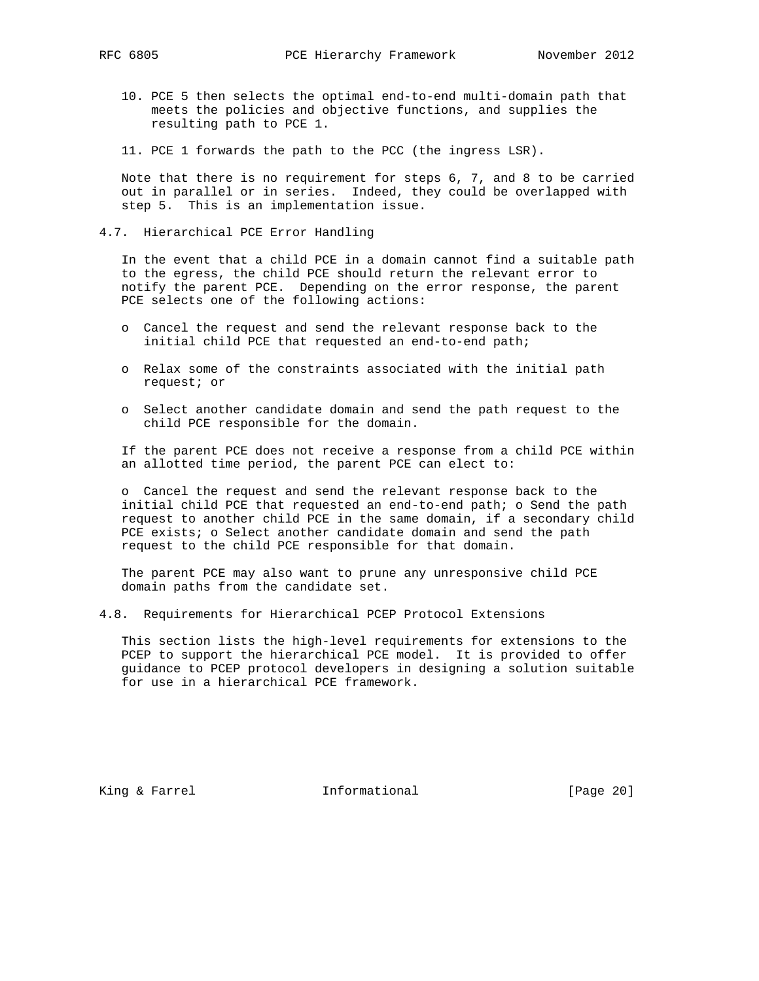- - 10. PCE 5 then selects the optimal end-to-end multi-domain path that meets the policies and objective functions, and supplies the resulting path to PCE 1.
	- 11. PCE 1 forwards the path to the PCC (the ingress LSR).

 Note that there is no requirement for steps 6, 7, and 8 to be carried out in parallel or in series. Indeed, they could be overlapped with step 5. This is an implementation issue.

4.7. Hierarchical PCE Error Handling

 In the event that a child PCE in a domain cannot find a suitable path to the egress, the child PCE should return the relevant error to notify the parent PCE. Depending on the error response, the parent PCE selects one of the following actions:

- o Cancel the request and send the relevant response back to the initial child PCE that requested an end-to-end path;
- o Relax some of the constraints associated with the initial path request; or
- o Select another candidate domain and send the path request to the child PCE responsible for the domain.

 If the parent PCE does not receive a response from a child PCE within an allotted time period, the parent PCE can elect to:

 o Cancel the request and send the relevant response back to the initial child PCE that requested an end-to-end path; o Send the path request to another child PCE in the same domain, if a secondary child PCE exists; o Select another candidate domain and send the path request to the child PCE responsible for that domain.

 The parent PCE may also want to prune any unresponsive child PCE domain paths from the candidate set.

4.8. Requirements for Hierarchical PCEP Protocol Extensions

 This section lists the high-level requirements for extensions to the PCEP to support the hierarchical PCE model. It is provided to offer guidance to PCEP protocol developers in designing a solution suitable for use in a hierarchical PCE framework.

King & Farrel **Informational** [Page 20]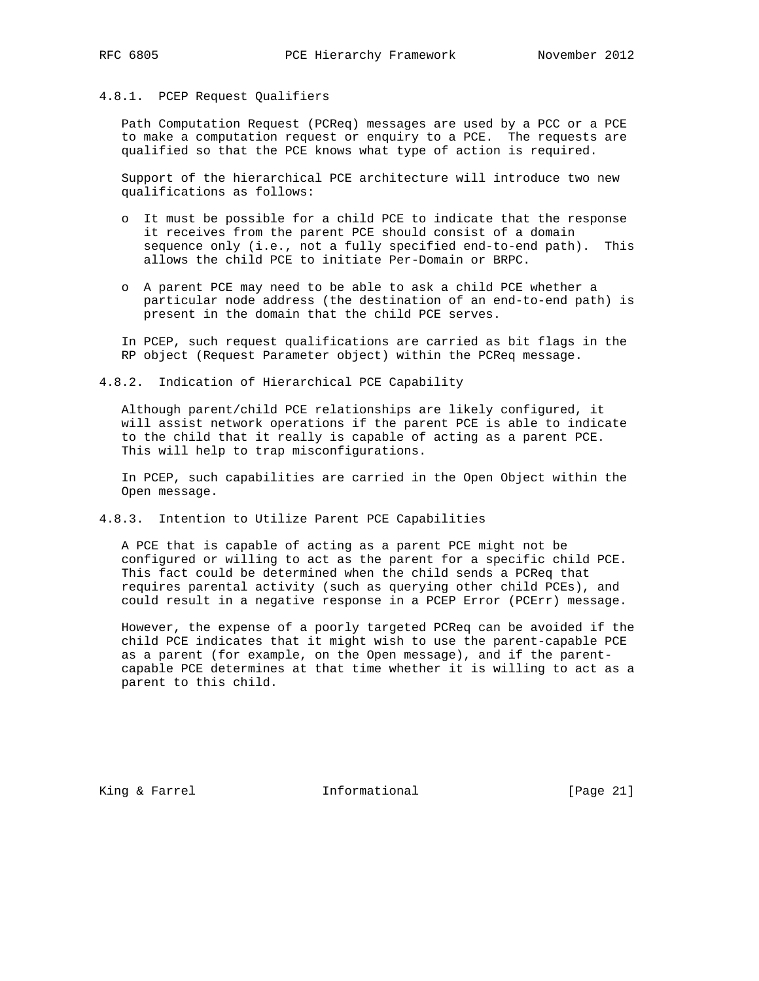## 4.8.1. PCEP Request Qualifiers

 Path Computation Request (PCReq) messages are used by a PCC or a PCE to make a computation request or enquiry to a PCE. The requests are qualified so that the PCE knows what type of action is required.

 Support of the hierarchical PCE architecture will introduce two new qualifications as follows:

- o It must be possible for a child PCE to indicate that the response it receives from the parent PCE should consist of a domain sequence only (i.e., not a fully specified end-to-end path). This allows the child PCE to initiate Per-Domain or BRPC.
- o A parent PCE may need to be able to ask a child PCE whether a particular node address (the destination of an end-to-end path) is present in the domain that the child PCE serves.

 In PCEP, such request qualifications are carried as bit flags in the RP object (Request Parameter object) within the PCReq message.

## 4.8.2. Indication of Hierarchical PCE Capability

 Although parent/child PCE relationships are likely configured, it will assist network operations if the parent PCE is able to indicate to the child that it really is capable of acting as a parent PCE. This will help to trap misconfigurations.

 In PCEP, such capabilities are carried in the Open Object within the Open message.

4.8.3. Intention to Utilize Parent PCE Capabilities

 A PCE that is capable of acting as a parent PCE might not be configured or willing to act as the parent for a specific child PCE. This fact could be determined when the child sends a PCReq that requires parental activity (such as querying other child PCEs), and could result in a negative response in a PCEP Error (PCErr) message.

 However, the expense of a poorly targeted PCReq can be avoided if the child PCE indicates that it might wish to use the parent-capable PCE as a parent (for example, on the Open message), and if the parent capable PCE determines at that time whether it is willing to act as a parent to this child.

King & Farrel **Informational** [Page 21]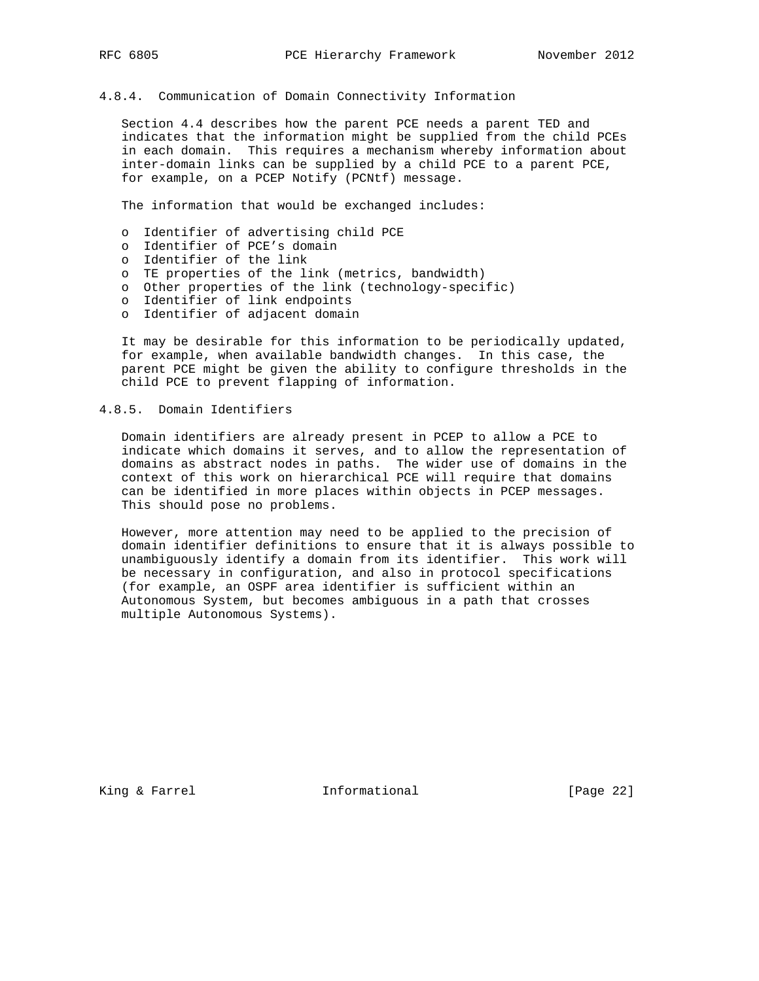# 4.8.4. Communication of Domain Connectivity Information

 Section 4.4 describes how the parent PCE needs a parent TED and indicates that the information might be supplied from the child PCEs in each domain. This requires a mechanism whereby information about inter-domain links can be supplied by a child PCE to a parent PCE, for example, on a PCEP Notify (PCNtf) message.

The information that would be exchanged includes:

- o Identifier of advertising child PCE
- o Identifier of PCE's domain
- o Identifier of the link
- o TE properties of the link (metrics, bandwidth)
- o Other properties of the link (technology-specific)
- o Identifier of link endpoints
	- o Identifier of adjacent domain

 It may be desirable for this information to be periodically updated, for example, when available bandwidth changes. In this case, the parent PCE might be given the ability to configure thresholds in the child PCE to prevent flapping of information.

## 4.8.5. Domain Identifiers

 Domain identifiers are already present in PCEP to allow a PCE to indicate which domains it serves, and to allow the representation of domains as abstract nodes in paths. The wider use of domains in the context of this work on hierarchical PCE will require that domains can be identified in more places within objects in PCEP messages. This should pose no problems.

 However, more attention may need to be applied to the precision of domain identifier definitions to ensure that it is always possible to unambiguously identify a domain from its identifier. This work will be necessary in configuration, and also in protocol specifications (for example, an OSPF area identifier is sufficient within an Autonomous System, but becomes ambiguous in a path that crosses multiple Autonomous Systems).

King & Farrel **Informational** [Page 22]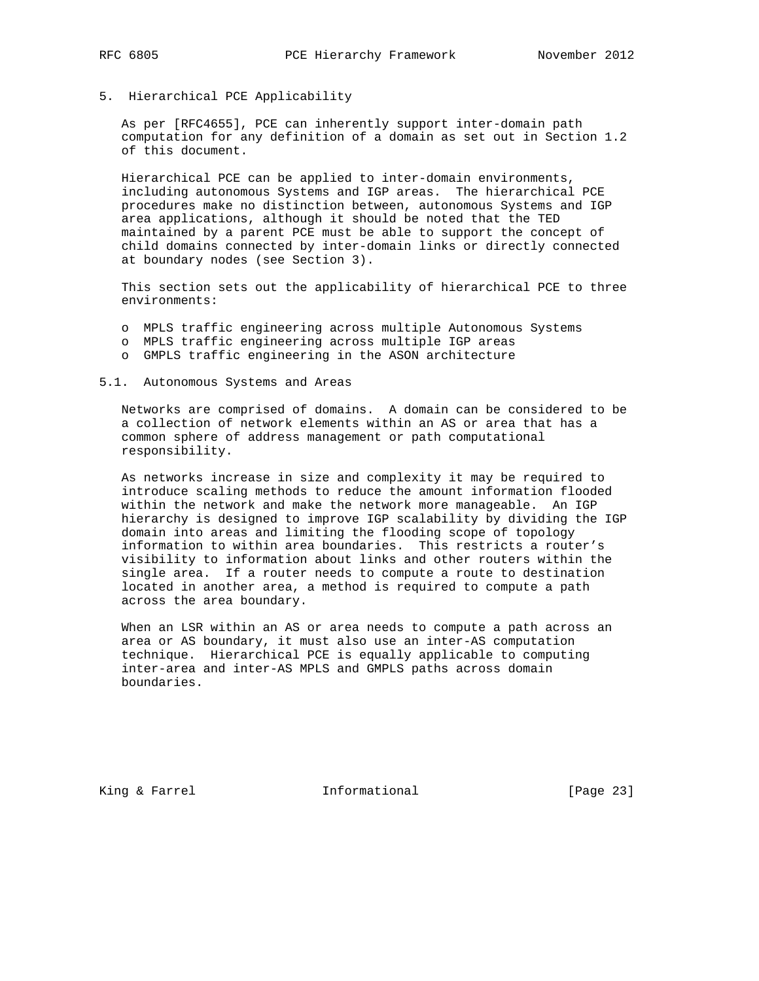- 
- 5. Hierarchical PCE Applicability

 As per [RFC4655], PCE can inherently support inter-domain path computation for any definition of a domain as set out in Section 1.2 of this document.

 Hierarchical PCE can be applied to inter-domain environments, including autonomous Systems and IGP areas. The hierarchical PCE procedures make no distinction between, autonomous Systems and IGP area applications, although it should be noted that the TED maintained by a parent PCE must be able to support the concept of child domains connected by inter-domain links or directly connected at boundary nodes (see Section 3).

 This section sets out the applicability of hierarchical PCE to three environments:

- o MPLS traffic engineering across multiple Autonomous Systems
- o MPLS traffic engineering across multiple IGP areas
- o GMPLS traffic engineering in the ASON architecture

5.1. Autonomous Systems and Areas

 Networks are comprised of domains. A domain can be considered to be a collection of network elements within an AS or area that has a common sphere of address management or path computational responsibility.

 As networks increase in size and complexity it may be required to introduce scaling methods to reduce the amount information flooded within the network and make the network more manageable. An IGP hierarchy is designed to improve IGP scalability by dividing the IGP domain into areas and limiting the flooding scope of topology information to within area boundaries. This restricts a router's visibility to information about links and other routers within the single area. If a router needs to compute a route to destination located in another area, a method is required to compute a path across the area boundary.

 When an LSR within an AS or area needs to compute a path across an area or AS boundary, it must also use an inter-AS computation technique. Hierarchical PCE is equally applicable to computing inter-area and inter-AS MPLS and GMPLS paths across domain boundaries.

King & Farrel **Informational** [Page 23]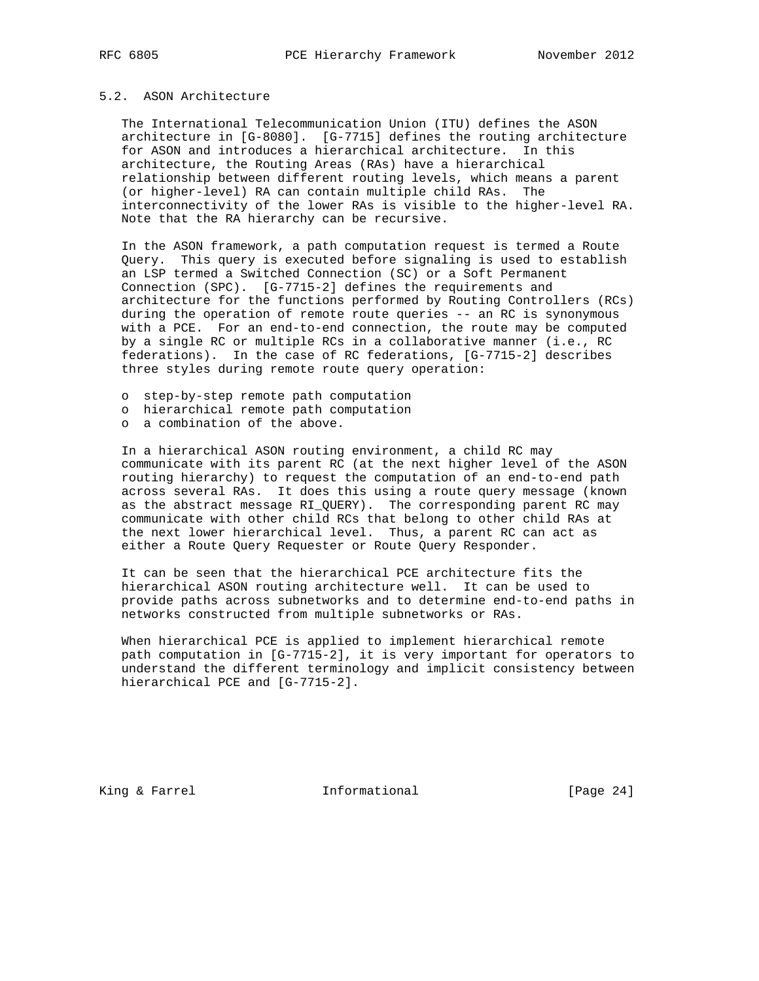# 5.2. ASON Architecture

 The International Telecommunication Union (ITU) defines the ASON architecture in [G-8080]. [G-7715] defines the routing architecture for ASON and introduces a hierarchical architecture. In this architecture, the Routing Areas (RAs) have a hierarchical relationship between different routing levels, which means a parent (or higher-level) RA can contain multiple child RAs. The interconnectivity of the lower RAs is visible to the higher-level RA. Note that the RA hierarchy can be recursive.

 In the ASON framework, a path computation request is termed a Route Query. This query is executed before signaling is used to establish an LSP termed a Switched Connection (SC) or a Soft Permanent Connection (SPC). [G-7715-2] defines the requirements and architecture for the functions performed by Routing Controllers (RCs) during the operation of remote route queries -- an RC is synonymous with a PCE. For an end-to-end connection, the route may be computed by a single RC or multiple RCs in a collaborative manner (i.e., RC federations). In the case of RC federations, [G-7715-2] describes three styles during remote route query operation:

- o step-by-step remote path computation
- o hierarchical remote path computation
- o a combination of the above.

 In a hierarchical ASON routing environment, a child RC may communicate with its parent RC (at the next higher level of the ASON routing hierarchy) to request the computation of an end-to-end path across several RAs. It does this using a route query message (known as the abstract message RI\_QUERY). The corresponding parent RC may communicate with other child RCs that belong to other child RAs at the next lower hierarchical level. Thus, a parent RC can act as either a Route Query Requester or Route Query Responder.

 It can be seen that the hierarchical PCE architecture fits the hierarchical ASON routing architecture well. It can be used to provide paths across subnetworks and to determine end-to-end paths in networks constructed from multiple subnetworks or RAs.

 When hierarchical PCE is applied to implement hierarchical remote path computation in [G-7715-2], it is very important for operators to understand the different terminology and implicit consistency between hierarchical PCE and [G-7715-2].

King & Farrel **Informational** [Page 24]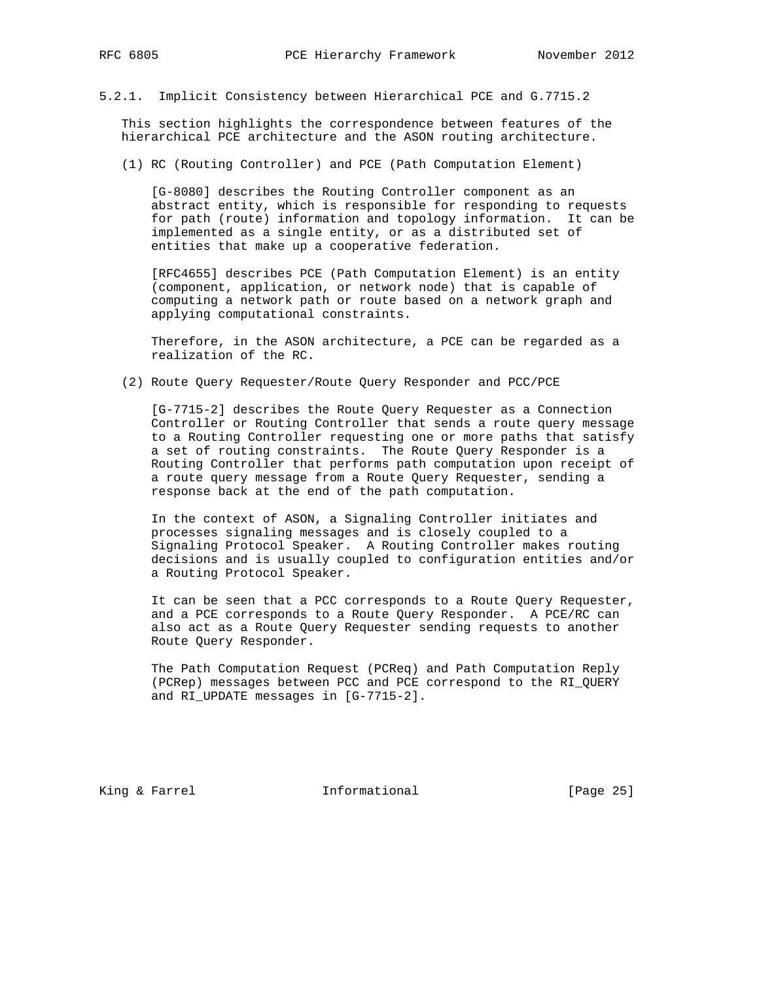5.2.1. Implicit Consistency between Hierarchical PCE and G.7715.2

 This section highlights the correspondence between features of the hierarchical PCE architecture and the ASON routing architecture.

(1) RC (Routing Controller) and PCE (Path Computation Element)

 [G-8080] describes the Routing Controller component as an abstract entity, which is responsible for responding to requests for path (route) information and topology information. It can be implemented as a single entity, or as a distributed set of entities that make up a cooperative federation.

 [RFC4655] describes PCE (Path Computation Element) is an entity (component, application, or network node) that is capable of computing a network path or route based on a network graph and applying computational constraints.

 Therefore, in the ASON architecture, a PCE can be regarded as a realization of the RC.

(2) Route Query Requester/Route Query Responder and PCC/PCE

 [G-7715-2] describes the Route Query Requester as a Connection Controller or Routing Controller that sends a route query message to a Routing Controller requesting one or more paths that satisfy a set of routing constraints. The Route Query Responder is a Routing Controller that performs path computation upon receipt of a route query message from a Route Query Requester, sending a response back at the end of the path computation.

 In the context of ASON, a Signaling Controller initiates and processes signaling messages and is closely coupled to a Signaling Protocol Speaker. A Routing Controller makes routing decisions and is usually coupled to configuration entities and/or a Routing Protocol Speaker.

 It can be seen that a PCC corresponds to a Route Query Requester, and a PCE corresponds to a Route Query Responder. A PCE/RC can also act as a Route Query Requester sending requests to another Route Query Responder.

 The Path Computation Request (PCReq) and Path Computation Reply (PCRep) messages between PCC and PCE correspond to the RI\_QUERY and RI\_UPDATE messages in [G-7715-2].

King & Farrel **Informational** [Page 25]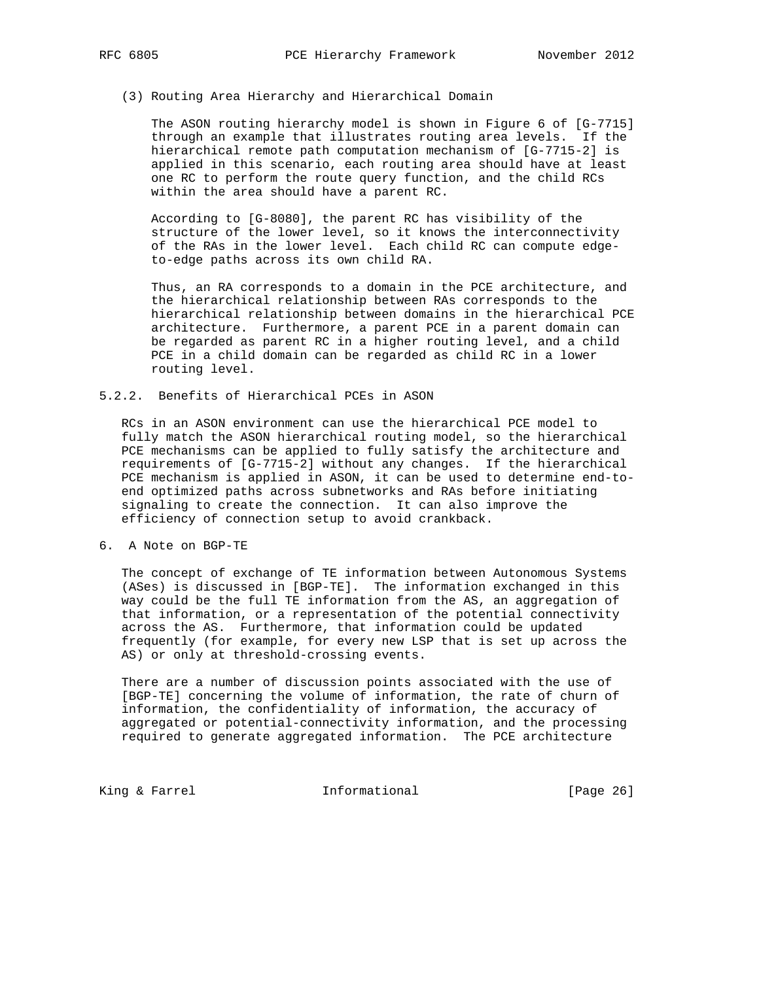## (3) Routing Area Hierarchy and Hierarchical Domain

 The ASON routing hierarchy model is shown in Figure 6 of [G-7715] through an example that illustrates routing area levels. If the hierarchical remote path computation mechanism of [G-7715-2] is applied in this scenario, each routing area should have at least one RC to perform the route query function, and the child RCs within the area should have a parent RC.

 According to [G-8080], the parent RC has visibility of the structure of the lower level, so it knows the interconnectivity of the RAs in the lower level. Each child RC can compute edge to-edge paths across its own child RA.

 Thus, an RA corresponds to a domain in the PCE architecture, and the hierarchical relationship between RAs corresponds to the hierarchical relationship between domains in the hierarchical PCE architecture. Furthermore, a parent PCE in a parent domain can be regarded as parent RC in a higher routing level, and a child PCE in a child domain can be regarded as child RC in a lower routing level.

## 5.2.2. Benefits of Hierarchical PCEs in ASON

 RCs in an ASON environment can use the hierarchical PCE model to fully match the ASON hierarchical routing model, so the hierarchical PCE mechanisms can be applied to fully satisfy the architecture and requirements of [G-7715-2] without any changes. If the hierarchical PCE mechanism is applied in ASON, it can be used to determine end-to end optimized paths across subnetworks and RAs before initiating signaling to create the connection. It can also improve the efficiency of connection setup to avoid crankback.

6. A Note on BGP-TE

 The concept of exchange of TE information between Autonomous Systems (ASes) is discussed in [BGP-TE]. The information exchanged in this way could be the full TE information from the AS, an aggregation of that information, or a representation of the potential connectivity across the AS. Furthermore, that information could be updated frequently (for example, for every new LSP that is set up across the AS) or only at threshold-crossing events.

 There are a number of discussion points associated with the use of [BGP-TE] concerning the volume of information, the rate of churn of information, the confidentiality of information, the accuracy of aggregated or potential-connectivity information, and the processing required to generate aggregated information. The PCE architecture

King & Farrel **Informational** [Page 26]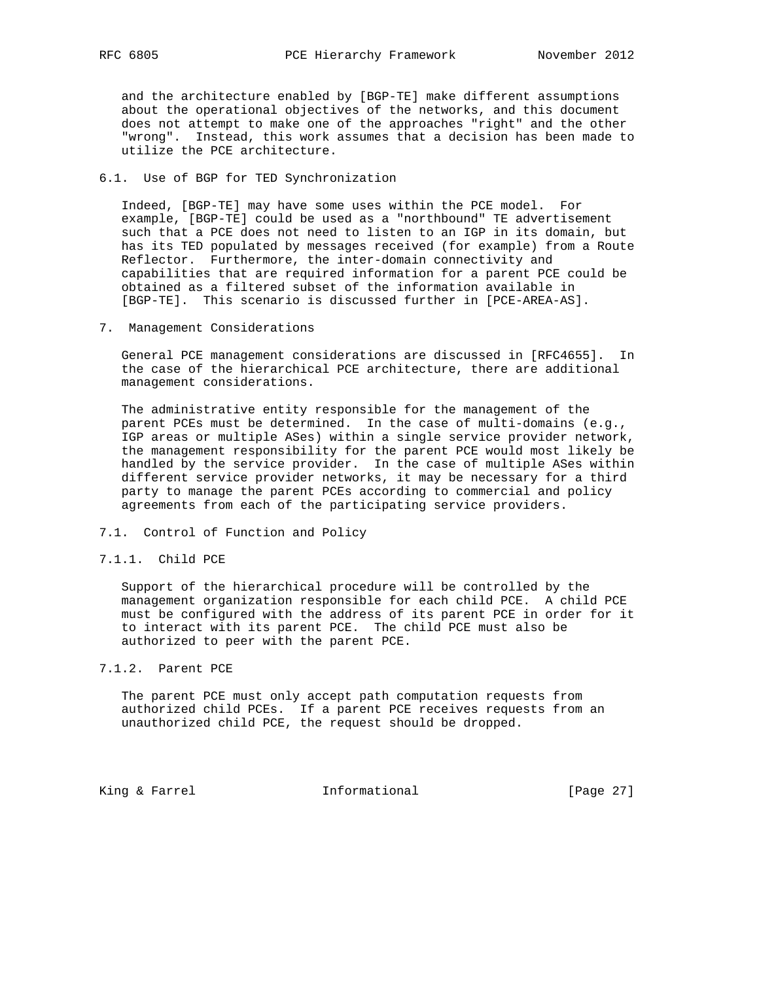and the architecture enabled by [BGP-TE] make different assumptions about the operational objectives of the networks, and this document does not attempt to make one of the approaches "right" and the other "wrong". Instead, this work assumes that a decision has been made to utilize the PCE architecture.

# 6.1. Use of BGP for TED Synchronization

 Indeed, [BGP-TE] may have some uses within the PCE model. For example, [BGP-TE] could be used as a "northbound" TE advertisement such that a PCE does not need to listen to an IGP in its domain, but has its TED populated by messages received (for example) from a Route Reflector. Furthermore, the inter-domain connectivity and capabilities that are required information for a parent PCE could be obtained as a filtered subset of the information available in [BGP-TE]. This scenario is discussed further in [PCE-AREA-AS].

7. Management Considerations

 General PCE management considerations are discussed in [RFC4655]. In the case of the hierarchical PCE architecture, there are additional management considerations.

 The administrative entity responsible for the management of the parent PCEs must be determined. In the case of multi-domains (e.g., IGP areas or multiple ASes) within a single service provider network, the management responsibility for the parent PCE would most likely be handled by the service provider. In the case of multiple ASes within different service provider networks, it may be necessary for a third party to manage the parent PCEs according to commercial and policy agreements from each of the participating service providers.

- 7.1. Control of Function and Policy
- 7.1.1. Child PCE

 Support of the hierarchical procedure will be controlled by the management organization responsible for each child PCE. A child PCE must be configured with the address of its parent PCE in order for it to interact with its parent PCE. The child PCE must also be authorized to peer with the parent PCE.

## 7.1.2. Parent PCE

 The parent PCE must only accept path computation requests from authorized child PCEs. If a parent PCE receives requests from an unauthorized child PCE, the request should be dropped.

King & Farrel **Informational** [Page 27]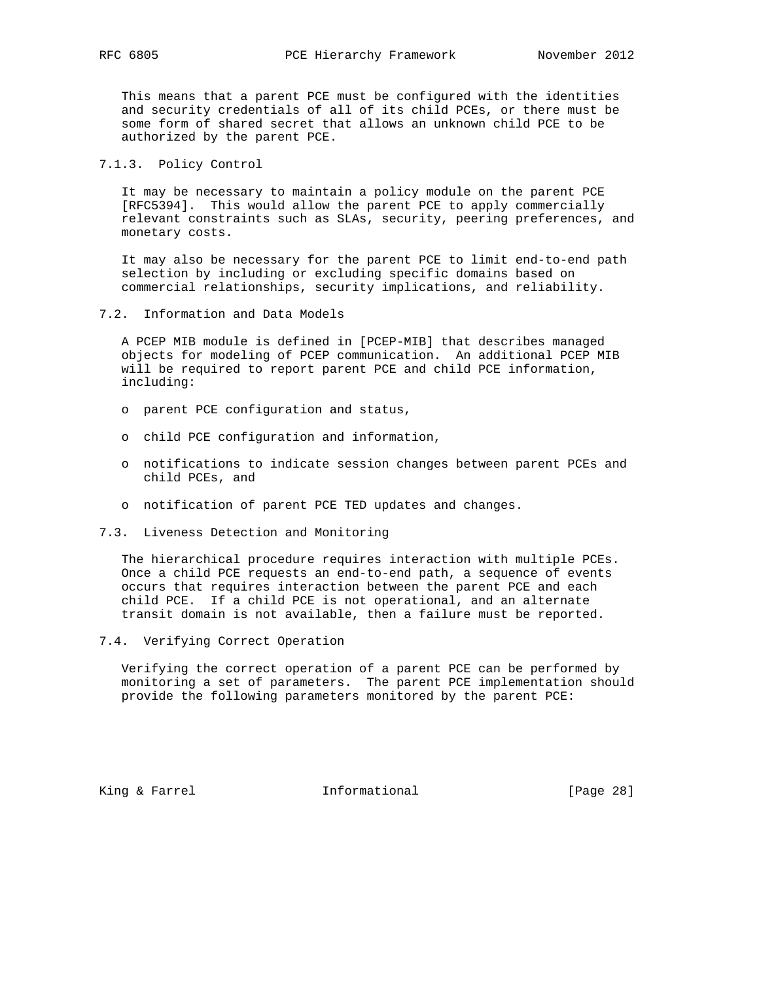This means that a parent PCE must be configured with the identities and security credentials of all of its child PCEs, or there must be some form of shared secret that allows an unknown child PCE to be authorized by the parent PCE.

## 7.1.3. Policy Control

 It may be necessary to maintain a policy module on the parent PCE [RFC5394]. This would allow the parent PCE to apply commercially relevant constraints such as SLAs, security, peering preferences, and monetary costs.

 It may also be necessary for the parent PCE to limit end-to-end path selection by including or excluding specific domains based on commercial relationships, security implications, and reliability.

7.2. Information and Data Models

 A PCEP MIB module is defined in [PCEP-MIB] that describes managed objects for modeling of PCEP communication. An additional PCEP MIB will be required to report parent PCE and child PCE information, including:

- o parent PCE configuration and status,
- o child PCE configuration and information,
- o notifications to indicate session changes between parent PCEs and child PCEs, and
- o notification of parent PCE TED updates and changes.
- 7.3. Liveness Detection and Monitoring

 The hierarchical procedure requires interaction with multiple PCEs. Once a child PCE requests an end-to-end path, a sequence of events occurs that requires interaction between the parent PCE and each child PCE. If a child PCE is not operational, and an alternate transit domain is not available, then a failure must be reported.

7.4. Verifying Correct Operation

 Verifying the correct operation of a parent PCE can be performed by monitoring a set of parameters. The parent PCE implementation should provide the following parameters monitored by the parent PCE:

King & Farrel **Informational** [Page 28]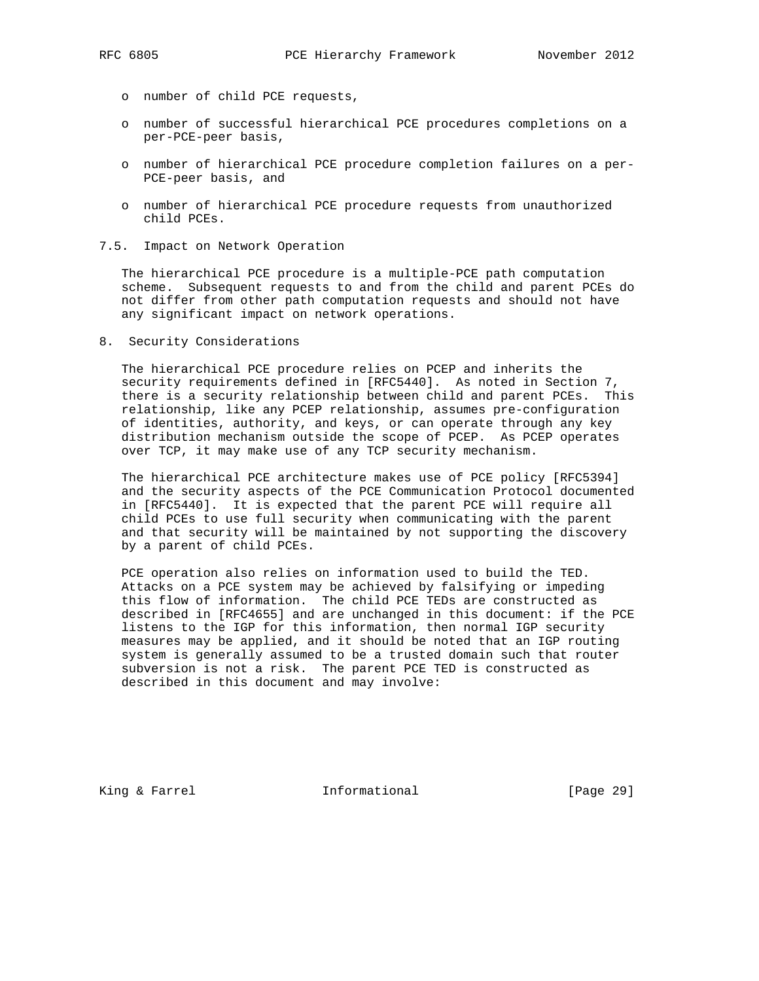- o number of child PCE requests,
- o number of successful hierarchical PCE procedures completions on a per-PCE-peer basis,
- o number of hierarchical PCE procedure completion failures on a per- PCE-peer basis, and
- o number of hierarchical PCE procedure requests from unauthorized child PCEs.
- 7.5. Impact on Network Operation

 The hierarchical PCE procedure is a multiple-PCE path computation scheme. Subsequent requests to and from the child and parent PCEs do not differ from other path computation requests and should not have any significant impact on network operations.

8. Security Considerations

 The hierarchical PCE procedure relies on PCEP and inherits the security requirements defined in [RFC5440]. As noted in Section 7, there is a security relationship between child and parent PCEs. This relationship, like any PCEP relationship, assumes pre-configuration of identities, authority, and keys, or can operate through any key distribution mechanism outside the scope of PCEP. As PCEP operates over TCP, it may make use of any TCP security mechanism.

 The hierarchical PCE architecture makes use of PCE policy [RFC5394] and the security aspects of the PCE Communication Protocol documented in [RFC5440]. It is expected that the parent PCE will require all child PCEs to use full security when communicating with the parent and that security will be maintained by not supporting the discovery by a parent of child PCEs.

 PCE operation also relies on information used to build the TED. Attacks on a PCE system may be achieved by falsifying or impeding this flow of information. The child PCE TEDs are constructed as described in [RFC4655] and are unchanged in this document: if the PCE listens to the IGP for this information, then normal IGP security measures may be applied, and it should be noted that an IGP routing system is generally assumed to be a trusted domain such that router subversion is not a risk. The parent PCE TED is constructed as described in this document and may involve:

King & Farrel **Informational** [Page 29]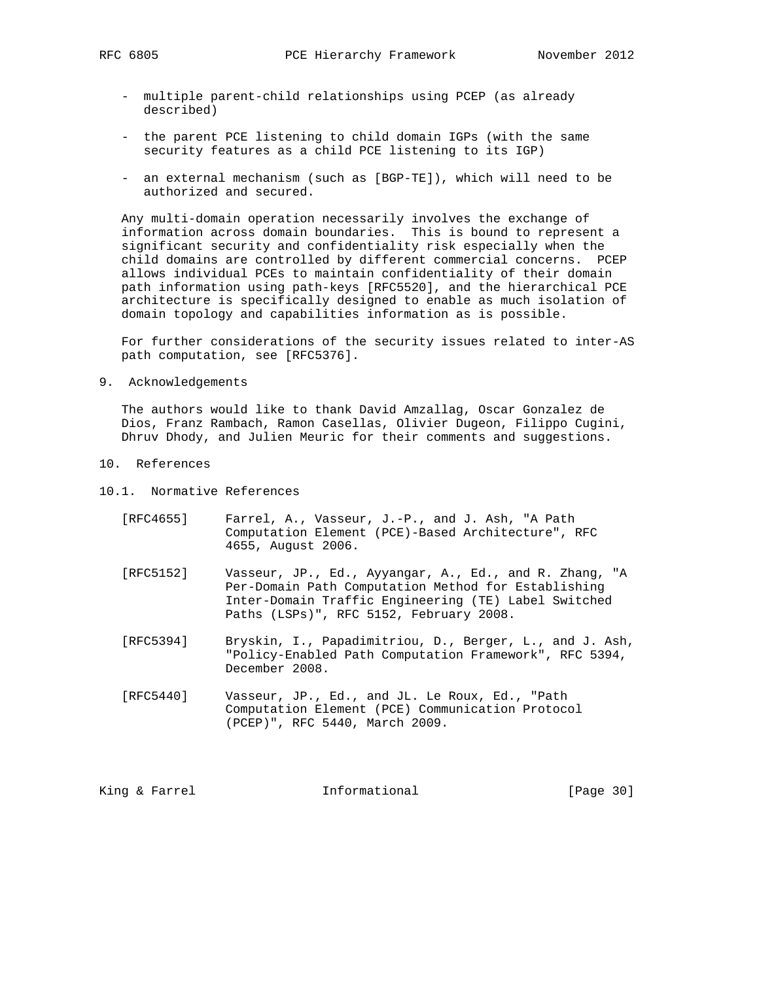- multiple parent-child relationships using PCEP (as already described)
- the parent PCE listening to child domain IGPs (with the same security features as a child PCE listening to its IGP)
- an external mechanism (such as [BGP-TE]), which will need to be authorized and secured.

 Any multi-domain operation necessarily involves the exchange of information across domain boundaries. This is bound to represent a significant security and confidentiality risk especially when the child domains are controlled by different commercial concerns. PCEP allows individual PCEs to maintain confidentiality of their domain path information using path-keys [RFC5520], and the hierarchical PCE architecture is specifically designed to enable as much isolation of domain topology and capabilities information as is possible.

 For further considerations of the security issues related to inter-AS path computation, see [RFC5376].

9. Acknowledgements

 The authors would like to thank David Amzallag, Oscar Gonzalez de Dios, Franz Rambach, Ramon Casellas, Olivier Dugeon, Filippo Cugini, Dhruv Dhody, and Julien Meuric for their comments and suggestions.

- 10. References
- 10.1. Normative References
	- [RFC4655] Farrel, A., Vasseur, J.-P., and J. Ash, "A Path Computation Element (PCE)-Based Architecture", RFC 4655, August 2006.
	- [RFC5152] Vasseur, JP., Ed., Ayyangar, A., Ed., and R. Zhang, "A Per-Domain Path Computation Method for Establishing Inter-Domain Traffic Engineering (TE) Label Switched Paths (LSPs)", RFC 5152, February 2008.
	- [RFC5394] Bryskin, I., Papadimitriou, D., Berger, L., and J. Ash, "Policy-Enabled Path Computation Framework", RFC 5394, December 2008.
	- [RFC5440] Vasseur, JP., Ed., and JL. Le Roux, Ed., "Path Computation Element (PCE) Communication Protocol (PCEP)", RFC 5440, March 2009.

King & Farrel **Informational** [Page 30]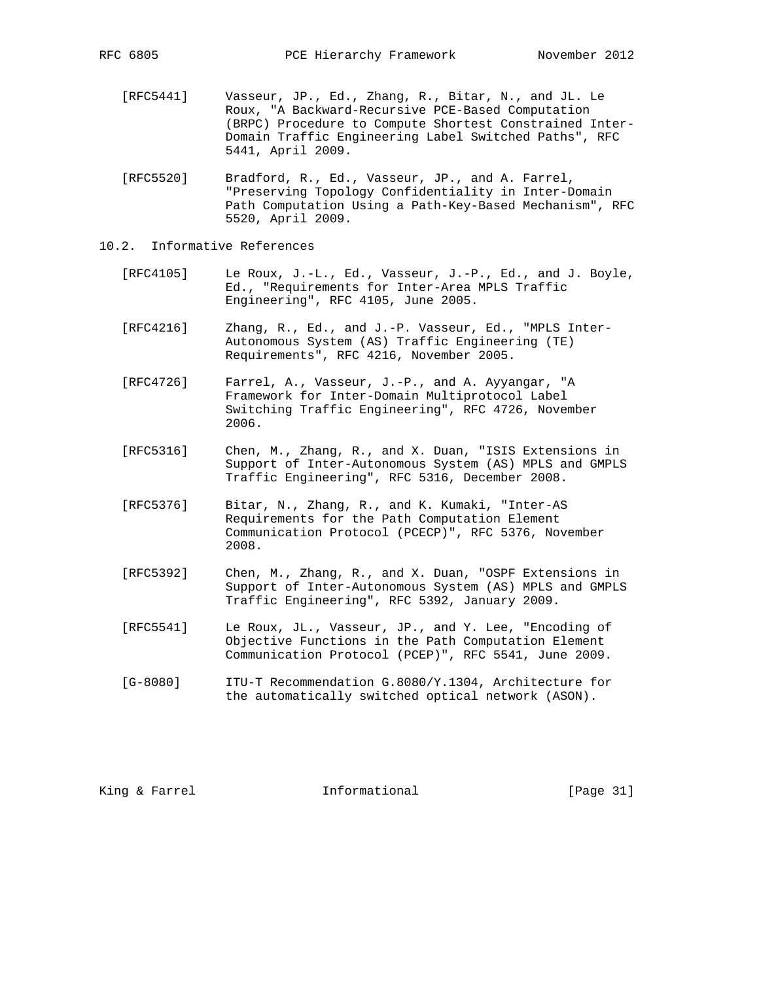- [RFC5441] Vasseur, JP., Ed., Zhang, R., Bitar, N., and JL. Le Roux, "A Backward-Recursive PCE-Based Computation (BRPC) Procedure to Compute Shortest Constrained Inter- Domain Traffic Engineering Label Switched Paths", RFC 5441, April 2009.
- [RFC5520] Bradford, R., Ed., Vasseur, JP., and A. Farrel, "Preserving Topology Confidentiality in Inter-Domain Path Computation Using a Path-Key-Based Mechanism", RFC 5520, April 2009.
- 10.2. Informative References
	- [RFC4105] Le Roux, J.-L., Ed., Vasseur, J.-P., Ed., and J. Boyle, Ed., "Requirements for Inter-Area MPLS Traffic Engineering", RFC 4105, June 2005.
	- [RFC4216] Zhang, R., Ed., and J.-P. Vasseur, Ed., "MPLS Inter- Autonomous System (AS) Traffic Engineering (TE) Requirements", RFC 4216, November 2005.
	- [RFC4726] Farrel, A., Vasseur, J.-P., and A. Ayyangar, "A Framework for Inter-Domain Multiprotocol Label Switching Traffic Engineering", RFC 4726, November 2006.
	- [RFC5316] Chen, M., Zhang, R., and X. Duan, "ISIS Extensions in Support of Inter-Autonomous System (AS) MPLS and GMPLS Traffic Engineering", RFC 5316, December 2008.
	- [RFC5376] Bitar, N., Zhang, R., and K. Kumaki, "Inter-AS Requirements for the Path Computation Element Communication Protocol (PCECP)", RFC 5376, November 2008.
	- [RFC5392] Chen, M., Zhang, R., and X. Duan, "OSPF Extensions in Support of Inter-Autonomous System (AS) MPLS and GMPLS Traffic Engineering", RFC 5392, January 2009.
	- [RFC5541] Le Roux, JL., Vasseur, JP., and Y. Lee, "Encoding of Objective Functions in the Path Computation Element Communication Protocol (PCEP)", RFC 5541, June 2009.
	- [G-8080] ITU-T Recommendation G.8080/Y.1304, Architecture for the automatically switched optical network (ASON).

King & Farrel **Informational** [Page 31]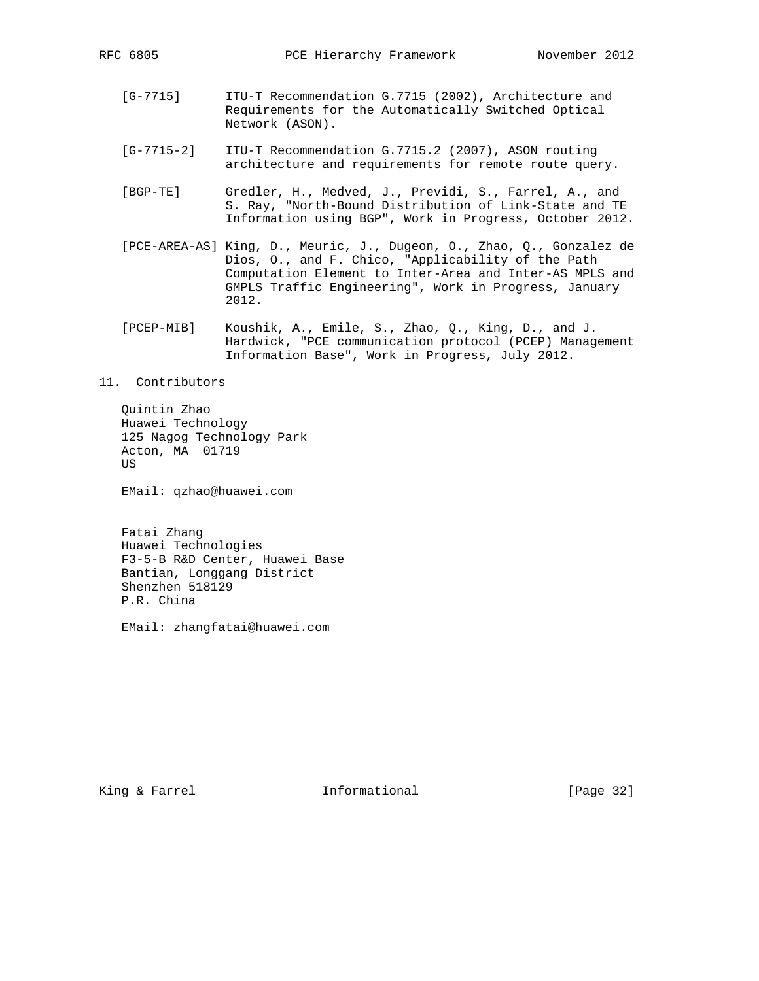- [G-7715] ITU-T Recommendation G.7715 (2002), Architecture and Requirements for the Automatically Switched Optical Network (ASON).
- [G-7715-2] ITU-T Recommendation G.7715.2 (2007), ASON routing architecture and requirements for remote route query.
- [BGP-TE] Gredler, H., Medved, J., Previdi, S., Farrel, A., and S. Ray, "North-Bound Distribution of Link-State and TE Information using BGP", Work in Progress, October 2012.
- [PCE-AREA-AS] King, D., Meuric, J., Dugeon, O., Zhao, Q., Gonzalez de Dios, O., and F. Chico, "Applicability of the Path Computation Element to Inter-Area and Inter-AS MPLS and GMPLS Traffic Engineering", Work in Progress, January 2012.
- [PCEP-MIB] Koushik, A., Emile, S., Zhao, Q., King, D., and J. Hardwick, "PCE communication protocol (PCEP) Management Information Base", Work in Progress, July 2012.

# 11. Contributors

 Quintin Zhao Huawei Technology 125 Nagog Technology Park Acton, MA 01719 US

EMail: qzhao@huawei.com

 Fatai Zhang Huawei Technologies F3-5-B R&D Center, Huawei Base Bantian, Longgang District Shenzhen 518129 P.R. China

EMail: zhangfatai@huawei.com

King & Farrel **Informational** [Page 32]